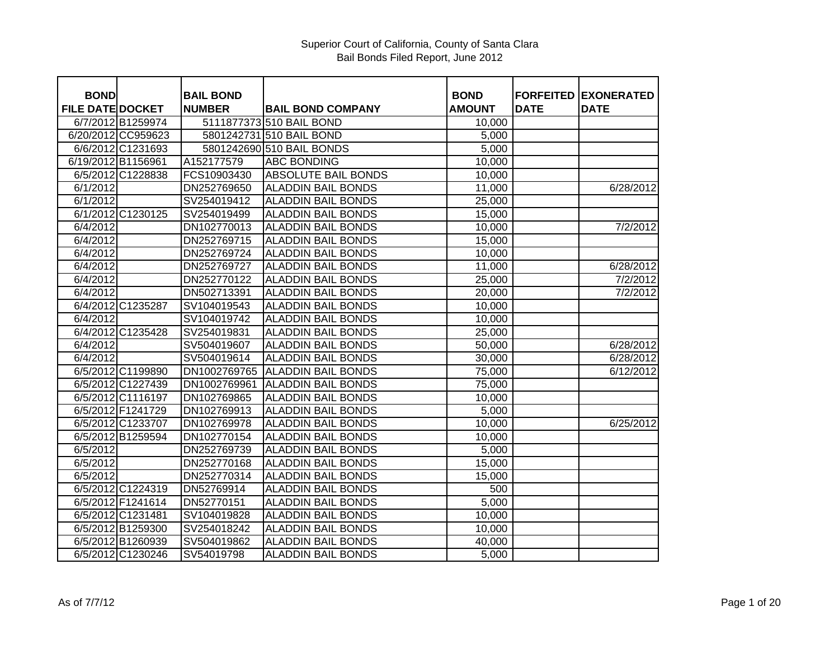## Superior Court of California, County of Santa Clara Bail Bonds Filed Report, June 2012

| <b>BOND</b>             |                    | <b>BAIL BOND</b> |                            | <b>BOND</b>   |             | <b>FORFEITED EXONERATED</b> |
|-------------------------|--------------------|------------------|----------------------------|---------------|-------------|-----------------------------|
| <b>FILE DATE DOCKET</b> |                    | <b>NUMBER</b>    | <b>BAIL BOND COMPANY</b>   | <b>AMOUNT</b> | <b>DATE</b> | <b>DATE</b>                 |
|                         | 6/7/2012 B1259974  |                  | 5111877373 510 BAIL BOND   | 10,000        |             |                             |
|                         | 6/20/2012 CC959623 |                  | 5801242731 510 BAIL BOND   | 5,000         |             |                             |
|                         | 6/6/2012 C1231693  |                  | 5801242690 510 BAIL BONDS  | 5,000         |             |                             |
|                         | 6/19/2012 B1156961 | A152177579       | <b>ABC BONDING</b>         | 10,000        |             |                             |
|                         | 6/5/2012 C1228838  | FCS10903430      | <b>ABSOLUTE BAIL BONDS</b> | 10,000        |             |                             |
| 6/1/2012                |                    | DN252769650      | <b>ALADDIN BAIL BONDS</b>  | 11,000        |             | 6/28/2012                   |
| 6/1/2012                |                    | SV254019412      | <b>ALADDIN BAIL BONDS</b>  | 25,000        |             |                             |
|                         | 6/1/2012 C1230125  | SV254019499      | <b>ALADDIN BAIL BONDS</b>  | 15,000        |             |                             |
| 6/4/2012                |                    | DN102770013      | <b>ALADDIN BAIL BONDS</b>  | 10,000        |             | 7/2/2012                    |
| 6/4/2012                |                    | DN252769715      | <b>ALADDIN BAIL BONDS</b>  | 15,000        |             |                             |
| 6/4/2012                |                    | DN252769724      | <b>ALADDIN BAIL BONDS</b>  | 10,000        |             |                             |
| 6/4/2012                |                    | DN252769727      | <b>ALADDIN BAIL BONDS</b>  | 11,000        |             | 6/28/2012                   |
| 6/4/2012                |                    | DN252770122      | <b>ALADDIN BAIL BONDS</b>  | 25,000        |             | 7/2/2012                    |
| 6/4/2012                |                    | DN502713391      | <b>ALADDIN BAIL BONDS</b>  | 20,000        |             | 7/2/2012                    |
|                         | 6/4/2012 C1235287  | SV104019543      | <b>ALADDIN BAIL BONDS</b>  | 10,000        |             |                             |
| 6/4/2012                |                    | SV104019742      | <b>ALADDIN BAIL BONDS</b>  | 10,000        |             |                             |
|                         | 6/4/2012 C1235428  | SV254019831      | <b>ALADDIN BAIL BONDS</b>  | 25,000        |             |                             |
| 6/4/2012                |                    | SV504019607      | <b>ALADDIN BAIL BONDS</b>  | 50,000        |             | 6/28/2012                   |
| 6/4/2012                |                    | SV504019614      | <b>ALADDIN BAIL BONDS</b>  | 30,000        |             | 6/28/2012                   |
|                         | 6/5/2012 C1199890  | DN1002769765     | <b>ALADDIN BAIL BONDS</b>  | 75,000        |             | 6/12/2012                   |
|                         | 6/5/2012 C1227439  | DN1002769961     | <b>ALADDIN BAIL BONDS</b>  | 75,000        |             |                             |
|                         | 6/5/2012 C1116197  | DN102769865      | <b>ALADDIN BAIL BONDS</b>  | 10,000        |             |                             |
|                         | 6/5/2012 F1241729  | DN102769913      | <b>ALADDIN BAIL BONDS</b>  | 5,000         |             |                             |
|                         | 6/5/2012 C1233707  | DN102769978      | <b>ALADDIN BAIL BONDS</b>  | 10,000        |             | 6/25/2012                   |
|                         | 6/5/2012 B1259594  | DN102770154      | <b>ALADDIN BAIL BONDS</b>  | 10,000        |             |                             |
| 6/5/2012                |                    | DN252769739      | <b>ALADDIN BAIL BONDS</b>  | 5,000         |             |                             |
| 6/5/2012                |                    | DN252770168      | <b>ALADDIN BAIL BONDS</b>  | 15,000        |             |                             |
| 6/5/2012                |                    | DN252770314      | <b>ALADDIN BAIL BONDS</b>  | 15,000        |             |                             |
|                         | 6/5/2012 C1224319  | DN52769914       | <b>ALADDIN BAIL BONDS</b>  | 500           |             |                             |
|                         | 6/5/2012 F1241614  | DN52770151       | <b>ALADDIN BAIL BONDS</b>  | 5,000         |             |                             |
|                         | 6/5/2012 C1231481  | SV104019828      | <b>ALADDIN BAIL BONDS</b>  | 10,000        |             |                             |
|                         | 6/5/2012 B1259300  | SV254018242      | <b>ALADDIN BAIL BONDS</b>  | 10,000        |             |                             |
|                         | 6/5/2012 B1260939  | SV504019862      | <b>ALADDIN BAIL BONDS</b>  | 40,000        |             |                             |
|                         | 6/5/2012 C1230246  | SV54019798       | <b>ALADDIN BAIL BONDS</b>  | 5,000         |             |                             |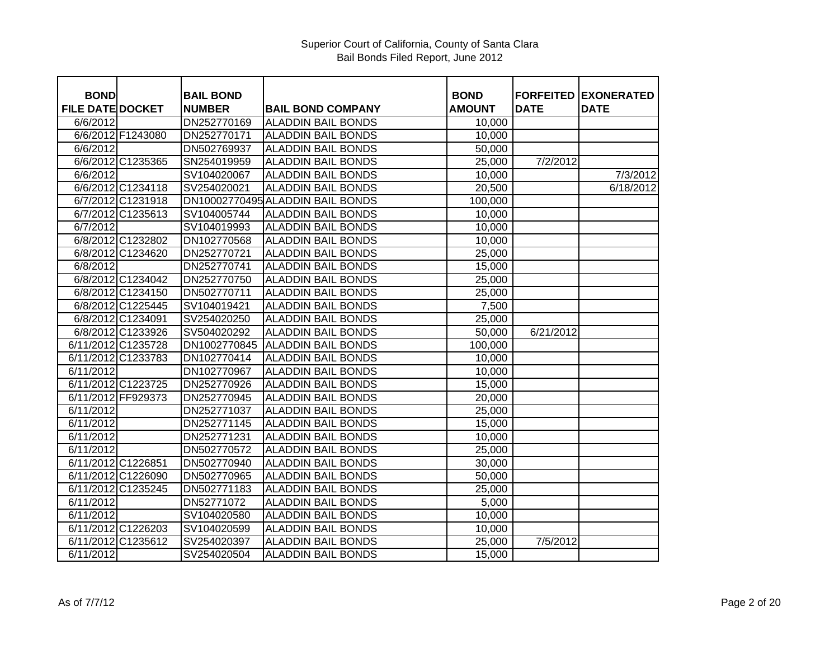| <b>BOND</b>             |                    | <b>BAIL BOND</b> |                                  | <b>BOND</b>   | <b>FORFEITED</b> | <b>EXONERATED</b> |
|-------------------------|--------------------|------------------|----------------------------------|---------------|------------------|-------------------|
| <b>FILE DATE DOCKET</b> |                    | <b>NUMBER</b>    | <b>BAIL BOND COMPANY</b>         | <b>AMOUNT</b> | <b>DATE</b>      | <b>DATE</b>       |
| 6/6/2012                |                    | DN252770169      | <b>ALADDIN BAIL BONDS</b>        | 10,000        |                  |                   |
|                         | 6/6/2012 F1243080  | DN252770171      | <b>ALADDIN BAIL BONDS</b>        | 10,000        |                  |                   |
| 6/6/2012                |                    | DN502769937      | <b>ALADDIN BAIL BONDS</b>        | 50,000        |                  |                   |
|                         | 6/6/2012 C1235365  | SN254019959      | <b>ALADDIN BAIL BONDS</b>        | 25,000        | 7/2/2012         |                   |
| 6/6/2012                |                    | SV104020067      | <b>ALADDIN BAIL BONDS</b>        | 10,000        |                  | 7/3/2012          |
|                         | 6/6/2012 C1234118  | SV254020021      | <b>ALADDIN BAIL BONDS</b>        | 20,500        |                  | 6/18/2012         |
|                         | 6/7/2012 C1231918  |                  | DN10002770495 ALADDIN BAIL BONDS | 100,000       |                  |                   |
|                         | 6/7/2012 C1235613  | SV104005744      | <b>ALADDIN BAIL BONDS</b>        | 10,000        |                  |                   |
| 6/7/2012                |                    | SV104019993      | <b>ALADDIN BAIL BONDS</b>        | 10,000        |                  |                   |
|                         | 6/8/2012 C1232802  | DN102770568      | <b>ALADDIN BAIL BONDS</b>        | 10,000        |                  |                   |
|                         | 6/8/2012 C1234620  | DN252770721      | <b>ALADDIN BAIL BONDS</b>        | 25,000        |                  |                   |
| 6/8/2012                |                    | DN252770741      | <b>ALADDIN BAIL BONDS</b>        | 15,000        |                  |                   |
|                         | 6/8/2012 C1234042  | DN252770750      | <b>ALADDIN BAIL BONDS</b>        | 25,000        |                  |                   |
|                         | 6/8/2012 C1234150  | DN502770711      | <b>ALADDIN BAIL BONDS</b>        | 25,000        |                  |                   |
|                         | 6/8/2012 C1225445  | SV104019421      | <b>ALADDIN BAIL BONDS</b>        | 7,500         |                  |                   |
|                         | 6/8/2012 C1234091  | SV254020250      | <b>ALADDIN BAIL BONDS</b>        | 25,000        |                  |                   |
|                         | 6/8/2012 C1233926  | SV504020292      | <b>ALADDIN BAIL BONDS</b>        | 50,000        | 6/21/2012        |                   |
|                         | 6/11/2012 C1235728 | DN1002770845     | <b>ALADDIN BAIL BONDS</b>        | 100,000       |                  |                   |
|                         | 6/11/2012 C1233783 | DN102770414      | <b>ALADDIN BAIL BONDS</b>        | 10,000        |                  |                   |
| 6/11/2012               |                    | DN102770967      | <b>ALADDIN BAIL BONDS</b>        | 10,000        |                  |                   |
|                         | 6/11/2012 C1223725 | DN252770926      | <b>ALADDIN BAIL BONDS</b>        | 15,000        |                  |                   |
|                         | 6/11/2012 FF929373 | DN252770945      | <b>ALADDIN BAIL BONDS</b>        | 20,000        |                  |                   |
| 6/11/2012               |                    | DN252771037      | <b>ALADDIN BAIL BONDS</b>        | 25,000        |                  |                   |
| 6/11/2012               |                    | DN252771145      | <b>ALADDIN BAIL BONDS</b>        | 15,000        |                  |                   |
| 6/11/2012               |                    | DN252771231      | <b>ALADDIN BAIL BONDS</b>        | 10,000        |                  |                   |
| 6/11/2012               |                    | DN502770572      | <b>ALADDIN BAIL BONDS</b>        | 25,000        |                  |                   |
|                         | 6/11/2012 C1226851 | DN502770940      | <b>ALADDIN BAIL BONDS</b>        | 30,000        |                  |                   |
|                         | 6/11/2012 C1226090 | DN502770965      | <b>ALADDIN BAIL BONDS</b>        | 50,000        |                  |                   |
|                         | 6/11/2012 C1235245 | DN502771183      | <b>ALADDIN BAIL BONDS</b>        | 25,000        |                  |                   |
| 6/11/2012               |                    | DN52771072       | <b>ALADDIN BAIL BONDS</b>        | 5,000         |                  |                   |
| 6/11/2012               |                    | SV104020580      | <b>ALADDIN BAIL BONDS</b>        | 10,000        |                  |                   |
|                         | 6/11/2012 C1226203 | SV104020599      | <b>ALADDIN BAIL BONDS</b>        | 10,000        |                  |                   |
|                         | 6/11/2012 C1235612 | SV254020397      | <b>ALADDIN BAIL BONDS</b>        | 25,000        | 7/5/2012         |                   |
| 6/11/2012               |                    | SV254020504      | <b>ALADDIN BAIL BONDS</b>        | 15,000        |                  |                   |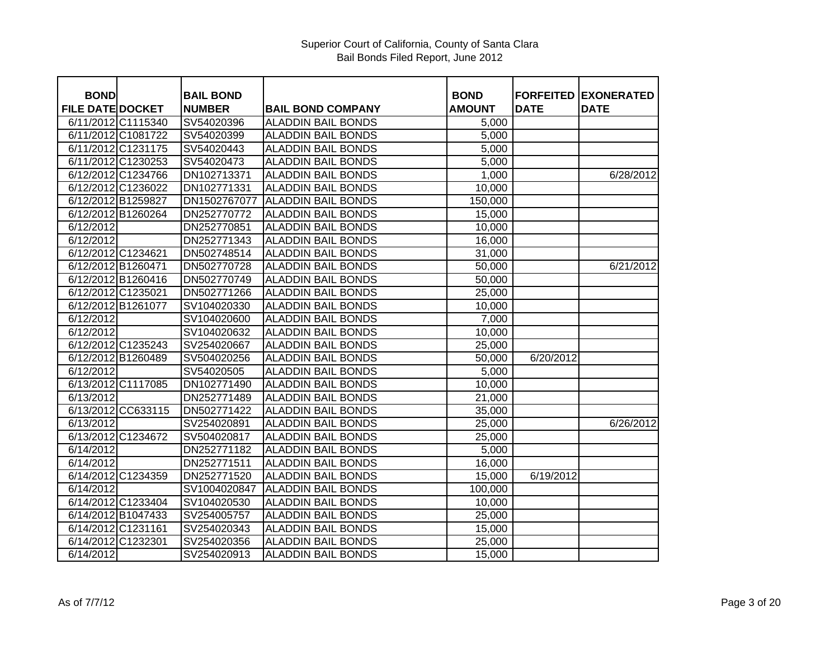| <b>BOND</b>             |                    | <b>BAIL BOND</b> |                           | <b>BOND</b>   | <b>FORFEITED</b> | <b>EXONERATED</b> |
|-------------------------|--------------------|------------------|---------------------------|---------------|------------------|-------------------|
| <b>FILE DATE DOCKET</b> |                    | <b>NUMBER</b>    | <b>BAIL BOND COMPANY</b>  | <b>AMOUNT</b> | <b>DATE</b>      | <b>DATE</b>       |
| 6/11/2012 C1115340      |                    | SV54020396       | <b>ALADDIN BAIL BONDS</b> | 5,000         |                  |                   |
| 6/11/2012 C1081722      |                    | SV54020399       | <b>ALADDIN BAIL BONDS</b> | 5,000         |                  |                   |
| 6/11/2012 C1231175      |                    | SV54020443       | <b>ALADDIN BAIL BONDS</b> | 5,000         |                  |                   |
| 6/11/2012 C1230253      |                    | SV54020473       | <b>ALADDIN BAIL BONDS</b> | 5,000         |                  |                   |
| 6/12/2012 C1234766      |                    | DN102713371      | <b>ALADDIN BAIL BONDS</b> | 1,000         |                  | 6/28/2012         |
| 6/12/2012 C1236022      |                    | DN102771331      | <b>ALADDIN BAIL BONDS</b> | 10,000        |                  |                   |
| 6/12/2012 B1259827      |                    | DN1502767077     | <b>ALADDIN BAIL BONDS</b> | 150,000       |                  |                   |
| 6/12/2012 B1260264      |                    | DN252770772      | <b>ALADDIN BAIL BONDS</b> | 15,000        |                  |                   |
| 6/12/2012               |                    | DN252770851      | <b>ALADDIN BAIL BONDS</b> | 10,000        |                  |                   |
| 6/12/2012               |                    | DN252771343      | <b>ALADDIN BAIL BONDS</b> | 16,000        |                  |                   |
| 6/12/2012 C1234621      |                    | DN502748514      | <b>ALADDIN BAIL BONDS</b> | 31,000        |                  |                   |
| 6/12/2012 B1260471      |                    | DN502770728      | <b>ALADDIN BAIL BONDS</b> | 50,000        |                  | 6/21/2012         |
| 6/12/2012 B1260416      |                    | DN502770749      | <b>ALADDIN BAIL BONDS</b> | 50,000        |                  |                   |
| 6/12/2012 C1235021      |                    | DN502771266      | <b>ALADDIN BAIL BONDS</b> | 25,000        |                  |                   |
| 6/12/2012 B1261077      |                    | SV104020330      | <b>ALADDIN BAIL BONDS</b> | 10,000        |                  |                   |
| 6/12/2012               |                    | SV104020600      | <b>ALADDIN BAIL BONDS</b> | 7,000         |                  |                   |
| 6/12/2012               |                    | SV104020632      | <b>ALADDIN BAIL BONDS</b> | 10,000        |                  |                   |
| 6/12/2012 C1235243      |                    | SV254020667      | <b>ALADDIN BAIL BONDS</b> | 25,000        |                  |                   |
| 6/12/2012 B1260489      |                    | SV504020256      | <b>ALADDIN BAIL BONDS</b> | 50,000        | 6/20/2012        |                   |
| 6/12/2012               |                    | SV54020505       | <b>ALADDIN BAIL BONDS</b> | 5,000         |                  |                   |
| 6/13/2012 C1117085      |                    | DN102771490      | <b>ALADDIN BAIL BONDS</b> | 10,000        |                  |                   |
| 6/13/2012               |                    | DN252771489      | <b>ALADDIN BAIL BONDS</b> | 21,000        |                  |                   |
|                         | 6/13/2012 CC633115 | DN502771422      | <b>ALADDIN BAIL BONDS</b> | 35,000        |                  |                   |
| 6/13/2012               |                    | SV254020891      | <b>ALADDIN BAIL BONDS</b> | 25,000        |                  | 6/26/2012         |
| 6/13/2012 C1234672      |                    | SV504020817      | <b>ALADDIN BAIL BONDS</b> | 25,000        |                  |                   |
| 6/14/2012               |                    | DN252771182      | <b>ALADDIN BAIL BONDS</b> | 5,000         |                  |                   |
| 6/14/2012               |                    | DN252771511      | <b>ALADDIN BAIL BONDS</b> | 16,000        |                  |                   |
| 6/14/2012 C1234359      |                    | DN252771520      | <b>ALADDIN BAIL BONDS</b> | 15,000        | 6/19/2012        |                   |
| 6/14/2012               |                    | SV1004020847     | <b>ALADDIN BAIL BONDS</b> | 100,000       |                  |                   |
| 6/14/2012 C1233404      |                    | SV104020530      | <b>ALADDIN BAIL BONDS</b> | 10,000        |                  |                   |
| 6/14/2012 B1047433      |                    | SV254005757      | <b>ALADDIN BAIL BONDS</b> | 25,000        |                  |                   |
| 6/14/2012 C1231161      |                    | SV254020343      | <b>ALADDIN BAIL BONDS</b> | 15,000        |                  |                   |
| 6/14/2012 C1232301      |                    | SV254020356      | <b>ALADDIN BAIL BONDS</b> | 25,000        |                  |                   |
| 6/14/2012               |                    | SV254020913      | <b>ALADDIN BAIL BONDS</b> | 15,000        |                  |                   |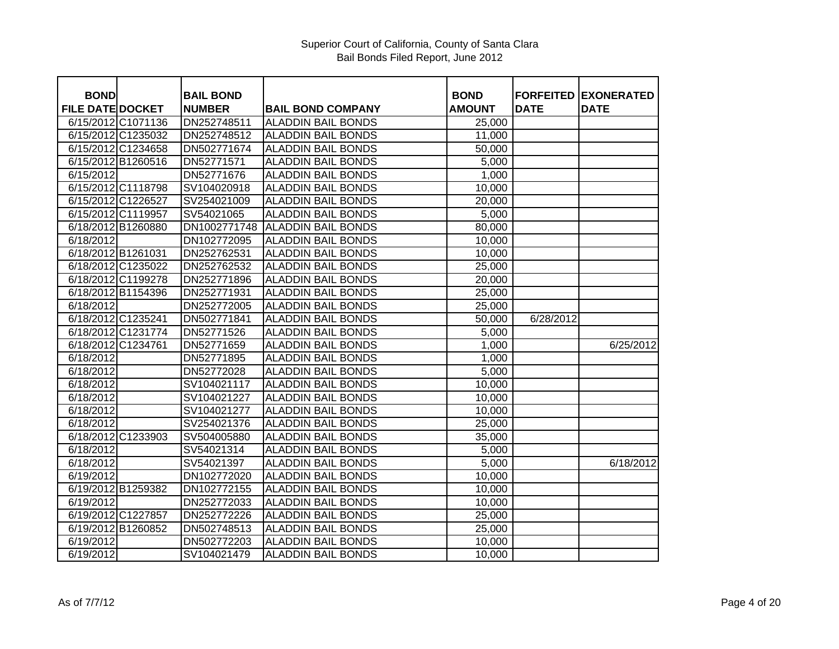|                                        |                                   |                           |                              | <b>FORFEITED</b> |                                  |
|----------------------------------------|-----------------------------------|---------------------------|------------------------------|------------------|----------------------------------|
| <b>BOND</b><br><b>FILE DATE DOCKET</b> | <b>BAIL BOND</b><br><b>NUMBER</b> | <b>BAIL BOND COMPANY</b>  | <b>BOND</b><br><b>AMOUNT</b> | <b>DATE</b>      | <b>EXONERATED</b><br><b>DATE</b> |
| 6/15/2012 C1071136                     | DN252748511                       | <b>ALADDIN BAIL BONDS</b> | 25,000                       |                  |                                  |
| 6/15/2012 C1235032                     | DN252748512                       | <b>ALADDIN BAIL BONDS</b> | 11,000                       |                  |                                  |
| 6/15/2012 C1234658                     | DN502771674                       | <b>ALADDIN BAIL BONDS</b> | 50,000                       |                  |                                  |
| 6/15/2012 B1260516                     | DN52771571                        | <b>ALADDIN BAIL BONDS</b> |                              |                  |                                  |
|                                        |                                   |                           | 5,000                        |                  |                                  |
| 6/15/2012                              | DN52771676                        | <b>ALADDIN BAIL BONDS</b> | 1,000                        |                  |                                  |
| 6/15/2012 C1118798                     | SV104020918                       | <b>ALADDIN BAIL BONDS</b> | 10,000                       |                  |                                  |
| 6/15/2012 C1226527                     | SV254021009                       | <b>ALADDIN BAIL BONDS</b> | 20,000                       |                  |                                  |
| 6/15/2012 C1119957                     | SV54021065                        | <b>ALADDIN BAIL BONDS</b> | 5,000                        |                  |                                  |
| 6/18/2012 B1260880                     | DN1002771748                      | <b>ALADDIN BAIL BONDS</b> | 80,000                       |                  |                                  |
| 6/18/2012                              | DN102772095                       | <b>ALADDIN BAIL BONDS</b> | 10,000                       |                  |                                  |
| 6/18/2012 B1261031                     | DN252762531                       | <b>ALADDIN BAIL BONDS</b> | 10,000                       |                  |                                  |
| 6/18/2012 C1235022                     | DN252762532                       | <b>ALADDIN BAIL BONDS</b> | 25,000                       |                  |                                  |
| 6/18/2012 C1199278                     | DN252771896                       | <b>ALADDIN BAIL BONDS</b> | 20,000                       |                  |                                  |
| 6/18/2012 B1154396                     | DN252771931                       | <b>ALADDIN BAIL BONDS</b> | 25,000                       |                  |                                  |
| 6/18/2012                              | DN252772005                       | <b>ALADDIN BAIL BONDS</b> | 25,000                       |                  |                                  |
| 6/18/2012 C1235241                     | DN502771841                       | <b>ALADDIN BAIL BONDS</b> | 50,000                       | 6/28/2012        |                                  |
| 6/18/2012 C1231774                     | DN52771526                        | <b>ALADDIN BAIL BONDS</b> | 5,000                        |                  |                                  |
| 6/18/2012 C1234761                     | DN52771659                        | <b>ALADDIN BAIL BONDS</b> | 1,000                        |                  | 6/25/2012                        |
| 6/18/2012                              | DN52771895                        | <b>ALADDIN BAIL BONDS</b> | 1,000                        |                  |                                  |
| 6/18/2012                              | DN52772028                        | <b>ALADDIN BAIL BONDS</b> | 5,000                        |                  |                                  |
| 6/18/2012                              | SV104021117                       | <b>ALADDIN BAIL BONDS</b> | 10,000                       |                  |                                  |
| 6/18/2012                              | SV104021227                       | <b>ALADDIN BAIL BONDS</b> | 10,000                       |                  |                                  |
| 6/18/2012                              | SV104021277                       | <b>ALADDIN BAIL BONDS</b> | 10,000                       |                  |                                  |
| 6/18/2012                              | SV254021376                       | <b>ALADDIN BAIL BONDS</b> | 25,000                       |                  |                                  |
| 6/18/2012 C1233903                     | SV504005880                       | <b>ALADDIN BAIL BONDS</b> | 35,000                       |                  |                                  |
| 6/18/2012                              | SV54021314                        | <b>ALADDIN BAIL BONDS</b> | 5,000                        |                  |                                  |
| 6/18/2012                              | SV54021397                        | <b>ALADDIN BAIL BONDS</b> | 5,000                        |                  | 6/18/2012                        |
| 6/19/2012                              | DN102772020                       | <b>ALADDIN BAIL BONDS</b> | 10,000                       |                  |                                  |
| 6/19/2012 B1259382                     | DN102772155                       | <b>ALADDIN BAIL BONDS</b> | 10,000                       |                  |                                  |
| 6/19/2012                              | DN252772033                       | <b>ALADDIN BAIL BONDS</b> | 10,000                       |                  |                                  |
| 6/19/2012 C1227857                     | DN252772226                       | <b>ALADDIN BAIL BONDS</b> | 25,000                       |                  |                                  |
| 6/19/2012 B1260852                     | DN502748513                       | <b>ALADDIN BAIL BONDS</b> | 25,000                       |                  |                                  |
| 6/19/2012                              | DN502772203                       | <b>ALADDIN BAIL BONDS</b> | 10,000                       |                  |                                  |
| 6/19/2012                              | SV104021479                       | <b>ALADDIN BAIL BONDS</b> | 10,000                       |                  |                                  |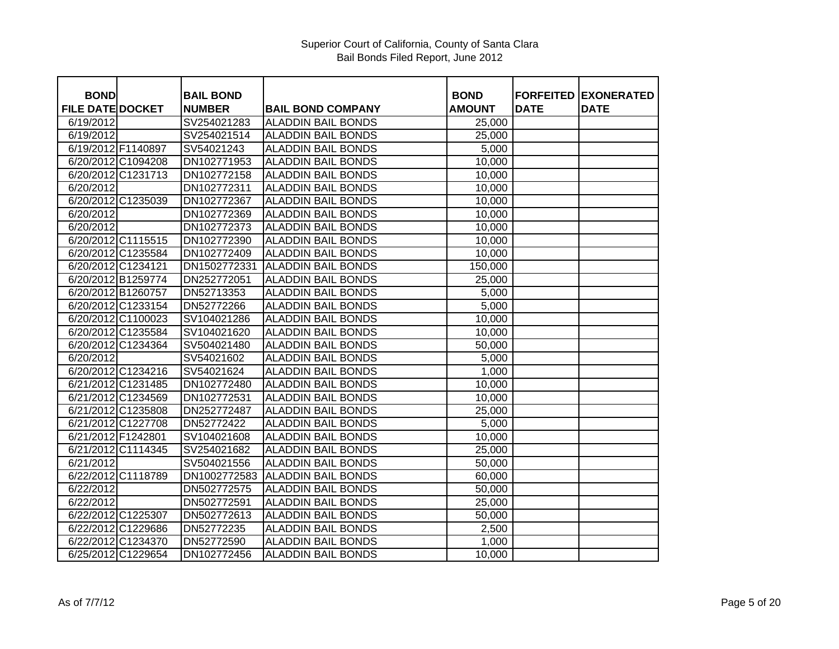| <b>BOND</b>             |                    | <b>BAIL BOND</b> |                           | <b>BOND</b>   |             | <b>FORFEITED EXONERATED</b> |
|-------------------------|--------------------|------------------|---------------------------|---------------|-------------|-----------------------------|
| <b>FILE DATE DOCKET</b> |                    | <b>NUMBER</b>    | <b>BAIL BOND COMPANY</b>  | <b>AMOUNT</b> | <b>DATE</b> | <b>DATE</b>                 |
| 6/19/2012               |                    | SV254021283      | <b>ALADDIN BAIL BONDS</b> | 25,000        |             |                             |
| 6/19/2012               |                    | SV254021514      | <b>ALADDIN BAIL BONDS</b> | 25,000        |             |                             |
| 6/19/2012 F1140897      |                    | SV54021243       | <b>ALADDIN BAIL BONDS</b> | 5,000         |             |                             |
|                         | 6/20/2012 C1094208 | DN102771953      | <b>ALADDIN BAIL BONDS</b> | 10,000        |             |                             |
|                         | 6/20/2012 C1231713 | DN102772158      | <b>ALADDIN BAIL BONDS</b> | 10,000        |             |                             |
| 6/20/2012               |                    | DN102772311      | <b>ALADDIN BAIL BONDS</b> | 10,000        |             |                             |
| 6/20/2012 C1235039      |                    | DN102772367      | <b>ALADDIN BAIL BONDS</b> | 10,000        |             |                             |
| 6/20/2012               |                    | DN102772369      | <b>ALADDIN BAIL BONDS</b> | 10,000        |             |                             |
| 6/20/2012               |                    | DN102772373      | <b>ALADDIN BAIL BONDS</b> | 10,000        |             |                             |
|                         | 6/20/2012 C1115515 | DN102772390      | <b>ALADDIN BAIL BONDS</b> | 10,000        |             |                             |
|                         | 6/20/2012 C1235584 | DN102772409      | <b>ALADDIN BAIL BONDS</b> | 10,000        |             |                             |
| 6/20/2012 C1234121      |                    | DN1502772331     | <b>ALADDIN BAIL BONDS</b> | 150,000       |             |                             |
| 6/20/2012 B1259774      |                    | DN252772051      | <b>ALADDIN BAIL BONDS</b> | 25,000        |             |                             |
| 6/20/2012 B1260757      |                    | DN52713353       | <b>ALADDIN BAIL BONDS</b> | 5,000         |             |                             |
|                         | 6/20/2012 C1233154 | DN52772266       | <b>ALADDIN BAIL BONDS</b> | 5,000         |             |                             |
|                         | 6/20/2012 C1100023 | SV104021286      | <b>ALADDIN BAIL BONDS</b> | 10,000        |             |                             |
|                         | 6/20/2012 C1235584 | SV104021620      | <b>ALADDIN BAIL BONDS</b> | 10,000        |             |                             |
|                         | 6/20/2012 C1234364 | SV504021480      | <b>ALADDIN BAIL BONDS</b> | 50,000        |             |                             |
| 6/20/2012               |                    | SV54021602       | <b>ALADDIN BAIL BONDS</b> | 5,000         |             |                             |
|                         | 6/20/2012 C1234216 | SV54021624       | <b>ALADDIN BAIL BONDS</b> | 1,000         |             |                             |
|                         | 6/21/2012 C1231485 | DN102772480      | <b>ALADDIN BAIL BONDS</b> | 10,000        |             |                             |
|                         | 6/21/2012 C1234569 | DN102772531      | <b>ALADDIN BAIL BONDS</b> | 10,000        |             |                             |
|                         | 6/21/2012 C1235808 | DN252772487      | <b>ALADDIN BAIL BONDS</b> | 25,000        |             |                             |
|                         | 6/21/2012 C1227708 | DN52772422       | <b>ALADDIN BAIL BONDS</b> | 5,000         |             |                             |
| 6/21/2012 F1242801      |                    | SV104021608      | <b>ALADDIN BAIL BONDS</b> | 10,000        |             |                             |
|                         | 6/21/2012 C1114345 | SV254021682      | <b>ALADDIN BAIL BONDS</b> | 25,000        |             |                             |
| 6/21/2012               |                    | SV504021556      | <b>ALADDIN BAIL BONDS</b> | 50,000        |             |                             |
|                         | 6/22/2012 C1118789 | DN1002772583     | <b>ALADDIN BAIL BONDS</b> | 60,000        |             |                             |
| 6/22/2012               |                    | DN502772575      | <b>ALADDIN BAIL BONDS</b> | 50,000        |             |                             |
| 6/22/2012               |                    | DN502772591      | <b>ALADDIN BAIL BONDS</b> | 25,000        |             |                             |
| 6/22/2012 C1225307      |                    | DN502772613      | <b>ALADDIN BAIL BONDS</b> | 50,000        |             |                             |
|                         | 6/22/2012 C1229686 | DN52772235       | <b>ALADDIN BAIL BONDS</b> | 2,500         |             |                             |
|                         | 6/22/2012 C1234370 | DN52772590       | <b>ALADDIN BAIL BONDS</b> | 1,000         |             |                             |
|                         | 6/25/2012 C1229654 | DN102772456      | <b>ALADDIN BAIL BONDS</b> | 10,000        |             |                             |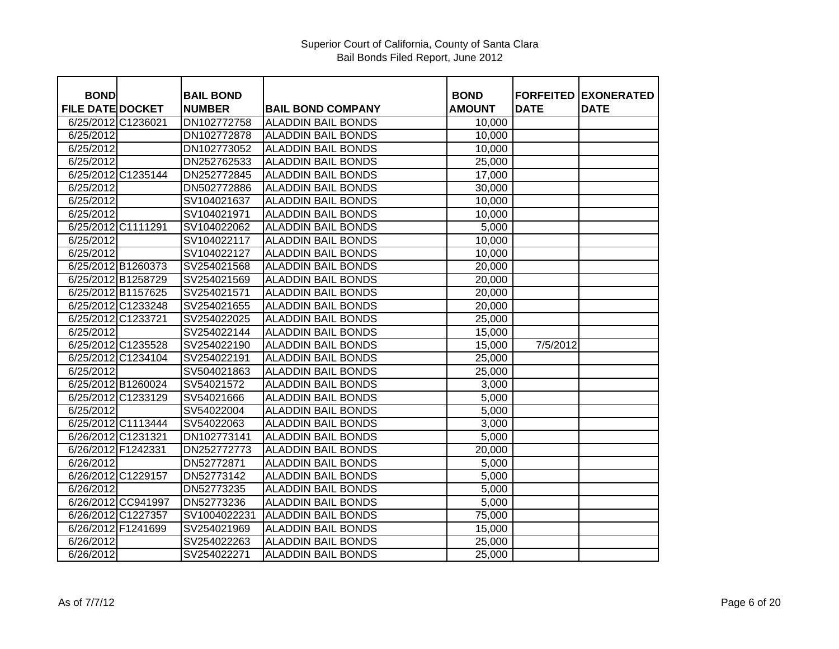| <b>BOND</b>             |                    | <b>BAIL BOND</b> |                           | <b>BOND</b>   | <b>FORFEITED</b> | <b>IEXONERATED</b> |
|-------------------------|--------------------|------------------|---------------------------|---------------|------------------|--------------------|
| <b>FILE DATE DOCKET</b> |                    | <b>NUMBER</b>    | <b>BAIL BOND COMPANY</b>  | <b>AMOUNT</b> | <b>DATE</b>      | <b>DATE</b>        |
| 6/25/2012 C1236021      |                    | DN102772758      | <b>ALADDIN BAIL BONDS</b> | 10,000        |                  |                    |
| 6/25/2012               |                    | DN102772878      | <b>ALADDIN BAIL BONDS</b> | 10,000        |                  |                    |
| 6/25/2012               |                    | DN102773052      | <b>ALADDIN BAIL BONDS</b> | 10,000        |                  |                    |
| 6/25/2012               |                    | DN252762533      | <b>ALADDIN BAIL BONDS</b> | 25,000        |                  |                    |
|                         | 6/25/2012 C1235144 | DN252772845      | <b>ALADDIN BAIL BONDS</b> | 17,000        |                  |                    |
| 6/25/2012               |                    | DN502772886      | <b>ALADDIN BAIL BONDS</b> | 30,000        |                  |                    |
| 6/25/2012               |                    | SV104021637      | <b>ALADDIN BAIL BONDS</b> | 10,000        |                  |                    |
| 6/25/2012               |                    | SV104021971      | <b>ALADDIN BAIL BONDS</b> | 10,000        |                  |                    |
| 6/25/2012 C1111291      |                    | SV104022062      | <b>ALADDIN BAIL BONDS</b> | 5,000         |                  |                    |
| 6/25/2012               |                    | SV104022117      | <b>ALADDIN BAIL BONDS</b> | 10,000        |                  |                    |
| 6/25/2012               |                    | SV104022127      | <b>ALADDIN BAIL BONDS</b> | 10,000        |                  |                    |
|                         | 6/25/2012 B1260373 | SV254021568      | <b>ALADDIN BAIL BONDS</b> | 20,000        |                  |                    |
|                         | 6/25/2012 B1258729 | SV254021569      | <b>ALADDIN BAIL BONDS</b> | 20,000        |                  |                    |
| 6/25/2012 B1157625      |                    | SV254021571      | <b>ALADDIN BAIL BONDS</b> | 20,000        |                  |                    |
|                         | 6/25/2012 C1233248 | SV254021655      | <b>ALADDIN BAIL BONDS</b> | 20,000        |                  |                    |
| 6/25/2012 C1233721      |                    | SV254022025      | <b>ALADDIN BAIL BONDS</b> |               |                  |                    |
| 6/25/2012               |                    | SV254022144      | <b>ALADDIN BAIL BONDS</b> | 25,000        |                  |                    |
|                         | 6/25/2012 C1235528 |                  |                           | 15,000        |                  |                    |
|                         |                    | SV254022190      | <b>ALADDIN BAIL BONDS</b> | 15,000        | 7/5/2012         |                    |
|                         | 6/25/2012 C1234104 | SV254022191      | <b>ALADDIN BAIL BONDS</b> | 25,000        |                  |                    |
| 6/25/2012               |                    | SV504021863      | <b>ALADDIN BAIL BONDS</b> | 25,000        |                  |                    |
|                         | 6/25/2012 B1260024 | SV54021572       | <b>ALADDIN BAIL BONDS</b> | 3,000         |                  |                    |
|                         | 6/25/2012 C1233129 | SV54021666       | <b>ALADDIN BAIL BONDS</b> | 5,000         |                  |                    |
| 6/25/2012               |                    | SV54022004       | <b>ALADDIN BAIL BONDS</b> | 5,000         |                  |                    |
|                         | 6/25/2012 C1113444 | SV54022063       | <b>ALADDIN BAIL BONDS</b> | 3,000         |                  |                    |
| 6/26/2012 C1231321      |                    | DN102773141      | <b>ALADDIN BAIL BONDS</b> | 5,000         |                  |                    |
| 6/26/2012 F1242331      |                    | DN252772773      | <b>ALADDIN BAIL BONDS</b> | 20,000        |                  |                    |
| 6/26/2012               |                    | DN52772871       | <b>ALADDIN BAIL BONDS</b> | 5,000         |                  |                    |
| 6/26/2012 C1229157      |                    | DN52773142       | <b>ALADDIN BAIL BONDS</b> | 5,000         |                  |                    |
| 6/26/2012               |                    | DN52773235       | <b>ALADDIN BAIL BONDS</b> | 5,000         |                  |                    |
|                         | 6/26/2012 CC941997 | DN52773236       | <b>ALADDIN BAIL BONDS</b> | 5,000         |                  |                    |
|                         | 6/26/2012 C1227357 | SV1004022231     | <b>ALADDIN BAIL BONDS</b> | 75,000        |                  |                    |
|                         | 6/26/2012 F1241699 | SV254021969      | <b>ALADDIN BAIL BONDS</b> | 15,000        |                  |                    |
| 6/26/2012               |                    | SV254022263      | <b>ALADDIN BAIL BONDS</b> | 25,000        |                  |                    |
| 6/26/2012               |                    | SV254022271      | <b>ALADDIN BAIL BONDS</b> | 25,000        |                  |                    |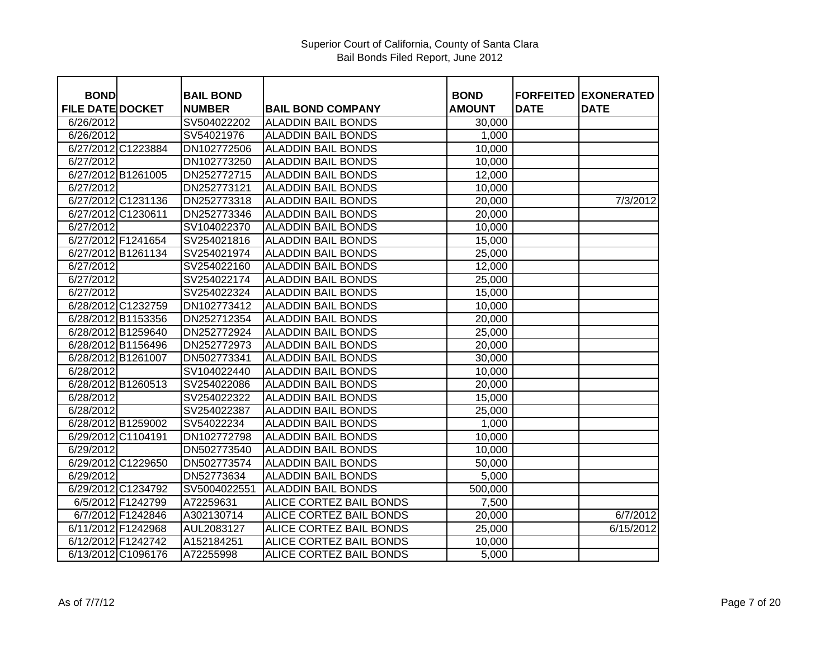| <b>BOND</b>             |                    | <b>BAIL BOND</b> |                                | <b>BOND</b>   | <b>FORFEITED</b> | <b>EXONERATED</b> |
|-------------------------|--------------------|------------------|--------------------------------|---------------|------------------|-------------------|
| <b>FILE DATE DOCKET</b> |                    | <b>NUMBER</b>    | <b>BAIL BOND COMPANY</b>       | <b>AMOUNT</b> | <b>DATE</b>      | <b>DATE</b>       |
| 6/26/2012               |                    | SV504022202      | <b>ALADDIN BAIL BONDS</b>      | 30,000        |                  |                   |
| 6/26/2012               |                    | SV54021976       | <b>ALADDIN BAIL BONDS</b>      | 1,000         |                  |                   |
|                         | 6/27/2012 C1223884 | DN102772506      | <b>ALADDIN BAIL BONDS</b>      | 10,000        |                  |                   |
| 6/27/2012               |                    | DN102773250      | <b>ALADDIN BAIL BONDS</b>      | 10,000        |                  |                   |
| 6/27/2012 B1261005      |                    | DN252772715      | <b>ALADDIN BAIL BONDS</b>      | 12,000        |                  |                   |
| 6/27/2012               |                    | DN252773121      | <b>ALADDIN BAIL BONDS</b>      | 10,000        |                  |                   |
|                         | 6/27/2012 C1231136 | DN252773318      | <b>ALADDIN BAIL BONDS</b>      | 20,000        |                  | 7/3/2012          |
| 6/27/2012 C1230611      |                    | DN252773346      | <b>ALADDIN BAIL BONDS</b>      | 20,000        |                  |                   |
| 6/27/2012               |                    | SV104022370      | <b>ALADDIN BAIL BONDS</b>      | 10,000        |                  |                   |
| 6/27/2012 F1241654      |                    | SV254021816      | <b>ALADDIN BAIL BONDS</b>      | 15,000        |                  |                   |
|                         | 6/27/2012 B1261134 | SV254021974      | <b>ALADDIN BAIL BONDS</b>      | 25,000        |                  |                   |
| 6/27/2012               |                    | SV254022160      | <b>ALADDIN BAIL BONDS</b>      | 12,000        |                  |                   |
| 6/27/2012               |                    | SV254022174      | <b>ALADDIN BAIL BONDS</b>      | 25,000        |                  |                   |
| 6/27/2012               |                    | SV254022324      | <b>ALADDIN BAIL BONDS</b>      | 15,000        |                  |                   |
|                         | 6/28/2012 C1232759 | DN102773412      | <b>ALADDIN BAIL BONDS</b>      | 10,000        |                  |                   |
| 6/28/2012 B1153356      |                    | DN252712354      | <b>ALADDIN BAIL BONDS</b>      | 20,000        |                  |                   |
|                         | 6/28/2012 B1259640 | DN252772924      | <b>ALADDIN BAIL BONDS</b>      | 25,000        |                  |                   |
|                         | 6/28/2012 B1156496 | DN252772973      | <b>ALADDIN BAIL BONDS</b>      | 20,000        |                  |                   |
| 6/28/2012 B1261007      |                    | DN502773341      | <b>ALADDIN BAIL BONDS</b>      | 30,000        |                  |                   |
| 6/28/2012               |                    | SV104022440      | <b>ALADDIN BAIL BONDS</b>      | 10,000        |                  |                   |
|                         | 6/28/2012 B1260513 | SV254022086      | <b>ALADDIN BAIL BONDS</b>      | 20,000        |                  |                   |
| 6/28/2012               |                    | SV254022322      | <b>ALADDIN BAIL BONDS</b>      | 15,000        |                  |                   |
| 6/28/2012               |                    | SV254022387      | <b>ALADDIN BAIL BONDS</b>      | 25,000        |                  |                   |
|                         | 6/28/2012 B1259002 | SV54022234       | <b>ALADDIN BAIL BONDS</b>      | 1,000         |                  |                   |
| 6/29/2012 C1104191      |                    | DN102772798      | <b>ALADDIN BAIL BONDS</b>      | 10,000        |                  |                   |
| 6/29/2012               |                    | DN502773540      | <b>ALADDIN BAIL BONDS</b>      | 10,000        |                  |                   |
|                         | 6/29/2012 C1229650 | DN502773574      | <b>ALADDIN BAIL BONDS</b>      | 50,000        |                  |                   |
| 6/29/2012               |                    | DN52773634       | <b>ALADDIN BAIL BONDS</b>      | 5,000         |                  |                   |
|                         | 6/29/2012 C1234792 | SV5004022551     | <b>ALADDIN BAIL BONDS</b>      | 500,000       |                  |                   |
|                         | 6/5/2012 F1242799  | A72259631        | ALICE CORTEZ BAIL BONDS        | 7,500         |                  |                   |
|                         | 6/7/2012 F1242846  | A302130714       | ALICE CORTEZ BAIL BONDS        | 20,000        |                  | 6/7/2012          |
| 6/11/2012 F1242968      |                    | AUL2083127       | ALICE CORTEZ BAIL BONDS        | 25,000        |                  | 6/15/2012         |
|                         | 6/12/2012 F1242742 | A152184251       | ALICE CORTEZ BAIL BONDS        | 10,000        |                  |                   |
|                         | 6/13/2012 C1096176 | A72255998        | <b>ALICE CORTEZ BAIL BONDS</b> | 5,000         |                  |                   |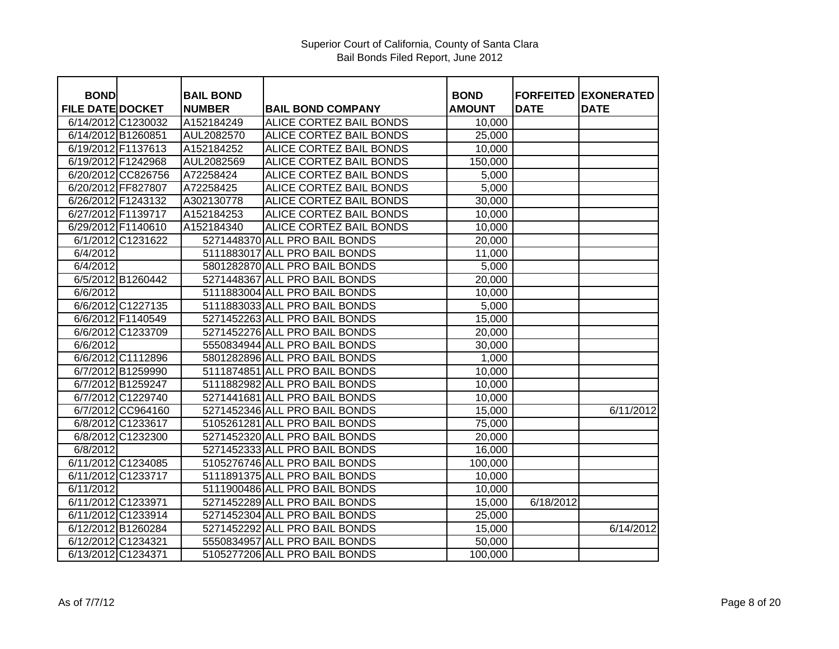| <b>BOND</b>             |                    | <b>BAIL BOND</b> |                                | <b>BOND</b>   |             | <b>FORFEITED EXONERATED</b> |
|-------------------------|--------------------|------------------|--------------------------------|---------------|-------------|-----------------------------|
| <b>FILE DATE DOCKET</b> |                    | <b>NUMBER</b>    | <b>BAIL BOND COMPANY</b>       | <b>AMOUNT</b> | <b>DATE</b> | <b>DATE</b>                 |
| 6/14/2012 C1230032      |                    | A152184249       | <b>ALICE CORTEZ BAIL BONDS</b> | 10,000        |             |                             |
| 6/14/2012 B1260851      |                    | AUL2082570       | <b>ALICE CORTEZ BAIL BONDS</b> | 25,000        |             |                             |
| 6/19/2012 F1137613      |                    | A152184252       | <b>ALICE CORTEZ BAIL BONDS</b> | 10,000        |             |                             |
| 6/19/2012 F1242968      |                    | AUL2082569       | <b>ALICE CORTEZ BAIL BONDS</b> | 150,000       |             |                             |
|                         | 6/20/2012 CC826756 | A72258424        | <b>ALICE CORTEZ BAIL BONDS</b> | 5,000         |             |                             |
| 6/20/2012 FF827807      |                    | A72258425        | ALICE CORTEZ BAIL BONDS        | 5,000         |             |                             |
| 6/26/2012 F1243132      |                    | A302130778       | ALICE CORTEZ BAIL BONDS        | 30,000        |             |                             |
| 6/27/2012 F1139717      |                    | A152184253       | ALICE CORTEZ BAIL BONDS        | 10,000        |             |                             |
| 6/29/2012 F1140610      |                    | A152184340       | ALICE CORTEZ BAIL BONDS        | 10,000        |             |                             |
|                         | 6/1/2012 C1231622  |                  | 5271448370 ALL PRO BAIL BONDS  | 20,000        |             |                             |
| 6/4/2012                |                    |                  | 5111883017 ALL PRO BAIL BONDS  | 11,000        |             |                             |
| 6/4/2012                |                    |                  | 5801282870 ALL PRO BAIL BONDS  | 5,000         |             |                             |
|                         | 6/5/2012 B1260442  |                  | 5271448367 ALL PRO BAIL BONDS  | 20,000        |             |                             |
| 6/6/2012                |                    |                  | 5111883004 ALL PRO BAIL BONDS  | 10,000        |             |                             |
|                         | 6/6/2012 C1227135  |                  | 5111883033 ALL PRO BAIL BONDS  | 5,000         |             |                             |
|                         | 6/6/2012 F1140549  |                  | 5271452263 ALL PRO BAIL BONDS  | 15,000        |             |                             |
|                         | 6/6/2012 C1233709  |                  | 5271452276 ALL PRO BAIL BONDS  | 20,000        |             |                             |
| 6/6/2012                |                    |                  | 5550834944 ALL PRO BAIL BONDS  | 30,000        |             |                             |
|                         | 6/6/2012 C1112896  |                  | 5801282896 ALL PRO BAIL BONDS  | 1,000         |             |                             |
|                         | 6/7/2012 B1259990  |                  | 5111874851 ALL PRO BAIL BONDS  | 10,000        |             |                             |
|                         | 6/7/2012 B1259247  |                  | 5111882982 ALL PRO BAIL BONDS  | 10,000        |             |                             |
|                         | 6/7/2012 C1229740  |                  | 5271441681 ALL PRO BAIL BONDS  | 10,000        |             |                             |
|                         | 6/7/2012 CC964160  |                  | 5271452346 ALL PRO BAIL BONDS  | 15,000        |             | 6/11/2012                   |
|                         | 6/8/2012 C1233617  |                  | 5105261281 ALL PRO BAIL BONDS  | 75,000        |             |                             |
|                         | 6/8/2012 C1232300  |                  | 5271452320 ALL PRO BAIL BONDS  | 20,000        |             |                             |
| 6/8/2012                |                    |                  | 5271452333 ALL PRO BAIL BONDS  | 16,000        |             |                             |
|                         | 6/11/2012 C1234085 |                  | 5105276746 ALL PRO BAIL BONDS  | 100,000       |             |                             |
| 6/11/2012 C1233717      |                    |                  | 5111891375 ALL PRO BAIL BONDS  | 10,000        |             |                             |
| 6/11/2012               |                    |                  | 5111900486 ALL PRO BAIL BONDS  | 10,000        |             |                             |
| 6/11/2012 C1233971      |                    |                  | 5271452289 ALL PRO BAIL BONDS  | 15,000        | 6/18/2012   |                             |
|                         | 6/11/2012 C1233914 |                  | 5271452304 ALL PRO BAIL BONDS  | 25,000        |             |                             |
| 6/12/2012 B1260284      |                    |                  | 5271452292 ALL PRO BAIL BONDS  | 15,000        |             | 6/14/2012                   |
| 6/12/2012 C1234321      |                    |                  | 5550834957 ALL PRO BAIL BONDS  | 50,000        |             |                             |
| 6/13/2012 C1234371      |                    |                  | 5105277206 ALL PRO BAIL BONDS  | 100,000       |             |                             |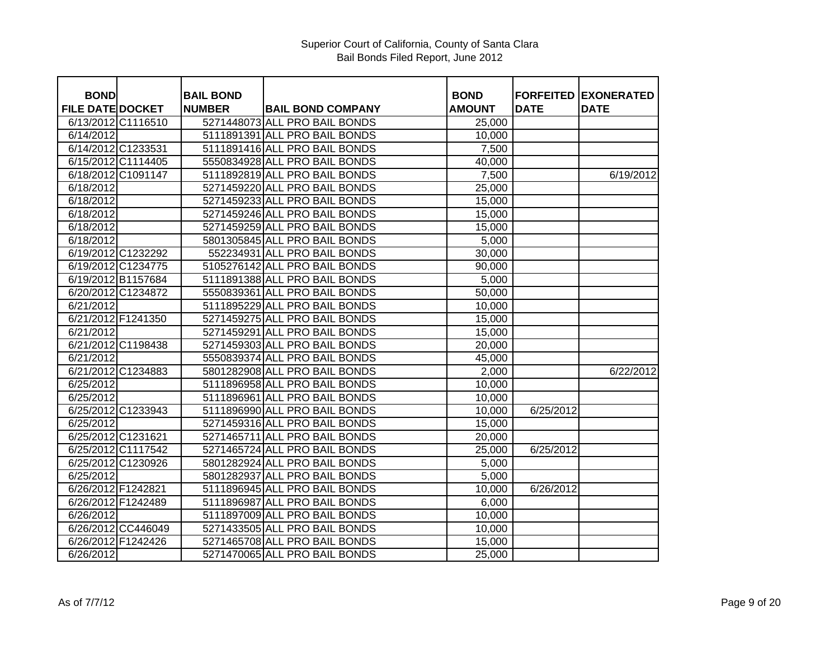| <b>BOND</b>             |                    | <b>BAIL BOND</b> |                               | <b>BOND</b>   |             | <b>FORFEITED EXONERATED</b> |
|-------------------------|--------------------|------------------|-------------------------------|---------------|-------------|-----------------------------|
| <b>FILE DATE DOCKET</b> |                    | <b>NUMBER</b>    | <b>BAIL BOND COMPANY</b>      | <b>AMOUNT</b> | <b>DATE</b> | <b>DATE</b>                 |
|                         | 6/13/2012 C1116510 |                  | 5271448073 ALL PRO BAIL BONDS | 25,000        |             |                             |
| 6/14/2012               |                    |                  | 5111891391 ALL PRO BAIL BONDS | 10,000        |             |                             |
|                         | 6/14/2012 C1233531 |                  | 5111891416 ALL PRO BAIL BONDS | 7,500         |             |                             |
|                         | 6/15/2012 C1114405 |                  | 5550834928 ALL PRO BAIL BONDS | 40,000        |             |                             |
|                         | 6/18/2012 C1091147 |                  | 5111892819 ALL PRO BAIL BONDS | 7,500         |             | 6/19/2012                   |
| 6/18/2012               |                    |                  | 5271459220 ALL PRO BAIL BONDS | 25,000        |             |                             |
| 6/18/2012               |                    |                  | 5271459233 ALL PRO BAIL BONDS | 15,000        |             |                             |
| 6/18/2012               |                    |                  | 5271459246 ALL PRO BAIL BONDS | 15,000        |             |                             |
| 6/18/2012               |                    |                  | 5271459259 ALL PRO BAIL BONDS | 15,000        |             |                             |
| 6/18/2012               |                    |                  | 5801305845 ALL PRO BAIL BONDS | 5,000         |             |                             |
|                         | 6/19/2012 C1232292 |                  | 552234931 ALL PRO BAIL BONDS  | 30,000        |             |                             |
|                         | 6/19/2012 C1234775 |                  | 5105276142 ALL PRO BAIL BONDS | 90,000        |             |                             |
|                         | 6/19/2012 B1157684 |                  | 5111891388 ALL PRO BAIL BONDS | 5,000         |             |                             |
|                         | 6/20/2012 C1234872 |                  | 5550839361 ALL PRO BAIL BONDS | 50,000        |             |                             |
| 6/21/2012               |                    |                  | 5111895229 ALL PRO BAIL BONDS | 10,000        |             |                             |
|                         | 6/21/2012 F1241350 |                  | 5271459275 ALL PRO BAIL BONDS | 15,000        |             |                             |
| 6/21/2012               |                    |                  | 5271459291 ALL PRO BAIL BONDS | 15,000        |             |                             |
|                         | 6/21/2012 C1198438 |                  | 5271459303 ALL PRO BAIL BONDS | 20,000        |             |                             |
| 6/21/2012               |                    |                  | 5550839374 ALL PRO BAIL BONDS | 45,000        |             |                             |
|                         | 6/21/2012 C1234883 |                  | 5801282908 ALL PRO BAIL BONDS | 2,000         |             | 6/22/2012                   |
| 6/25/2012               |                    |                  | 5111896958 ALL PRO BAIL BONDS | 10,000        |             |                             |
| 6/25/2012               |                    |                  | 5111896961 ALL PRO BAIL BONDS | 10,000        |             |                             |
|                         | 6/25/2012 C1233943 |                  | 5111896990 ALL PRO BAIL BONDS | 10,000        | 6/25/2012   |                             |
| 6/25/2012               |                    |                  | 5271459316 ALL PRO BAIL BONDS | 15,000        |             |                             |
|                         | 6/25/2012 C1231621 |                  | 5271465711 ALL PRO BAIL BONDS | 20,000        |             |                             |
|                         | 6/25/2012 C1117542 |                  | 5271465724 ALL PRO BAIL BONDS | 25,000        | 6/25/2012   |                             |
|                         | 6/25/2012 C1230926 |                  | 5801282924 ALL PRO BAIL BONDS | 5,000         |             |                             |
| 6/25/2012               |                    |                  | 5801282937 ALL PRO BAIL BONDS | 5,000         |             |                             |
|                         | 6/26/2012 F1242821 |                  | 5111896945 ALL PRO BAIL BONDS | 10,000        | 6/26/2012   |                             |
|                         | 6/26/2012 F1242489 |                  | 5111896987 ALL PRO BAIL BONDS | 6,000         |             |                             |
| 6/26/2012               |                    |                  | 5111897009 ALL PRO BAIL BONDS | 10,000        |             |                             |
|                         | 6/26/2012 CC446049 |                  | 5271433505 ALL PRO BAIL BONDS | 10,000        |             |                             |
|                         | 6/26/2012 F1242426 |                  | 5271465708 ALL PRO BAIL BONDS | 15,000        |             |                             |
| 6/26/2012               |                    |                  | 5271470065 ALL PRO BAIL BONDS | 25,000        |             |                             |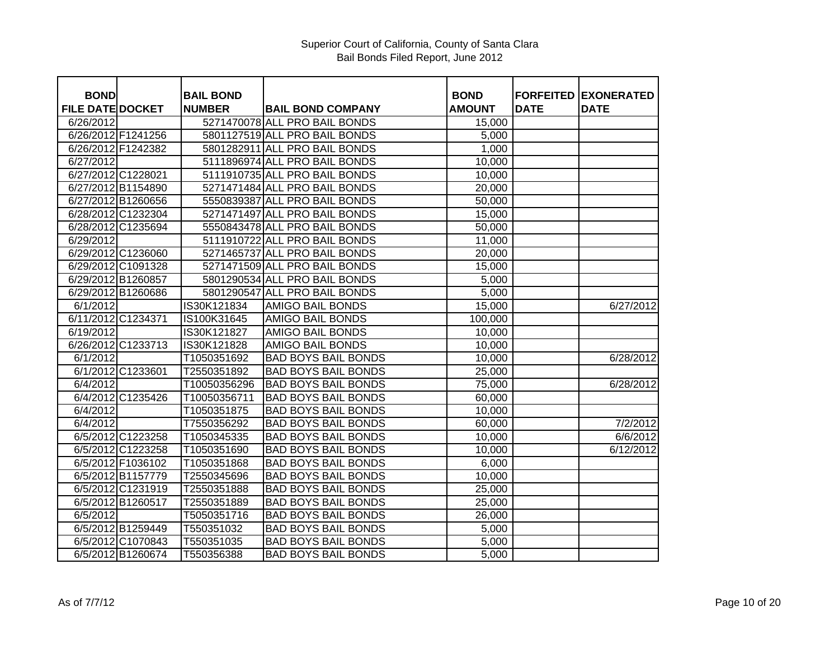| <b>BOND</b>             |                    | <b>BAIL BOND</b> |                               | <b>BOND</b>   | <b>FORFEITED</b> | <b>EXONERATED</b> |
|-------------------------|--------------------|------------------|-------------------------------|---------------|------------------|-------------------|
| <b>FILE DATE DOCKET</b> |                    | <b>NUMBER</b>    | <b>BAIL BOND COMPANY</b>      | <b>AMOUNT</b> | <b>DATE</b>      | <b>DATE</b>       |
| 6/26/2012               |                    |                  | 5271470078 ALL PRO BAIL BONDS | 15,000        |                  |                   |
|                         | 6/26/2012 F1241256 |                  | 5801127519 ALL PRO BAIL BONDS | 5,000         |                  |                   |
|                         | 6/26/2012 F1242382 |                  | 5801282911 ALL PRO BAIL BONDS | 1,000         |                  |                   |
| 6/27/2012               |                    |                  | 5111896974 ALL PRO BAIL BONDS | 10,000        |                  |                   |
|                         | 6/27/2012 C1228021 |                  | 5111910735 ALL PRO BAIL BONDS | 10,000        |                  |                   |
|                         | 6/27/2012 B1154890 |                  | 5271471484 ALL PRO BAIL BONDS | 20,000        |                  |                   |
|                         | 6/27/2012 B1260656 |                  | 5550839387 ALL PRO BAIL BONDS | 50,000        |                  |                   |
|                         | 6/28/2012 C1232304 |                  | 5271471497 ALL PRO BAIL BONDS | 15,000        |                  |                   |
|                         | 6/28/2012 C1235694 |                  | 5550843478 ALL PRO BAIL BONDS | 50,000        |                  |                   |
| 6/29/2012               |                    |                  | 5111910722 ALL PRO BAIL BONDS | 11,000        |                  |                   |
|                         | 6/29/2012 C1236060 |                  | 5271465737 ALL PRO BAIL BONDS | 20,000        |                  |                   |
|                         | 6/29/2012 C1091328 |                  | 5271471509 ALL PRO BAIL BONDS | 15,000        |                  |                   |
|                         | 6/29/2012 B1260857 |                  | 5801290534 ALL PRO BAIL BONDS | 5,000         |                  |                   |
|                         | 6/29/2012 B1260686 |                  | 5801290547 ALL PRO BAIL BONDS | 5,000         |                  |                   |
| 6/1/2012                |                    | IS30K121834      | <b>AMIGO BAIL BONDS</b>       | 15,000        |                  | 6/27/2012         |
|                         | 6/11/2012 C1234371 | IS100K31645      | AMIGO BAIL BONDS              | 100,000       |                  |                   |
| 6/19/2012               |                    | IS30K121827      | <b>AMIGO BAIL BONDS</b>       | 10,000        |                  |                   |
|                         | 6/26/2012 C1233713 | IS30K121828      | <b>AMIGO BAIL BONDS</b>       | 10,000        |                  |                   |
| 6/1/2012                |                    | T1050351692      | <b>BAD BOYS BAIL BONDS</b>    | 10,000        |                  | 6/28/2012         |
|                         | 6/1/2012 C1233601  | T2550351892      | <b>BAD BOYS BAIL BONDS</b>    | 25,000        |                  |                   |
| 6/4/2012                |                    | T10050356296     | <b>BAD BOYS BAIL BONDS</b>    | 75,000        |                  | 6/28/2012         |
|                         | 6/4/2012 C1235426  | T10050356711     | <b>BAD BOYS BAIL BONDS</b>    | 60,000        |                  |                   |
| 6/4/2012                |                    | T1050351875      | <b>BAD BOYS BAIL BONDS</b>    | 10,000        |                  |                   |
| 6/4/2012                |                    | T7550356292      | <b>BAD BOYS BAIL BONDS</b>    | 60,000        |                  | 7/2/2012          |
|                         | 6/5/2012 C1223258  | T1050345335      | <b>BAD BOYS BAIL BONDS</b>    | 10,000        |                  | 6/6/2012          |
|                         | 6/5/2012 C1223258  | T1050351690      | <b>BAD BOYS BAIL BONDS</b>    | 10,000        |                  | 6/12/2012         |
|                         | 6/5/2012 F1036102  | T1050351868      | <b>BAD BOYS BAIL BONDS</b>    | 6,000         |                  |                   |
|                         | 6/5/2012 B1157779  | T2550345696      | <b>BAD BOYS BAIL BONDS</b>    | 10,000        |                  |                   |
|                         | 6/5/2012 C1231919  | T2550351888      | <b>BAD BOYS BAIL BONDS</b>    | 25,000        |                  |                   |
|                         | 6/5/2012 B1260517  | T2550351889      | <b>BAD BOYS BAIL BONDS</b>    | 25,000        |                  |                   |
| 6/5/2012                |                    | T5050351716      | <b>BAD BOYS BAIL BONDS</b>    | 26,000        |                  |                   |
|                         | 6/5/2012 B1259449  | T550351032       | <b>BAD BOYS BAIL BONDS</b>    | 5,000         |                  |                   |
|                         | 6/5/2012 C1070843  | T550351035       | <b>BAD BOYS BAIL BONDS</b>    | 5,000         |                  |                   |
|                         | 6/5/2012 B1260674  | T550356388       | <b>BAD BOYS BAIL BONDS</b>    | 5,000         |                  |                   |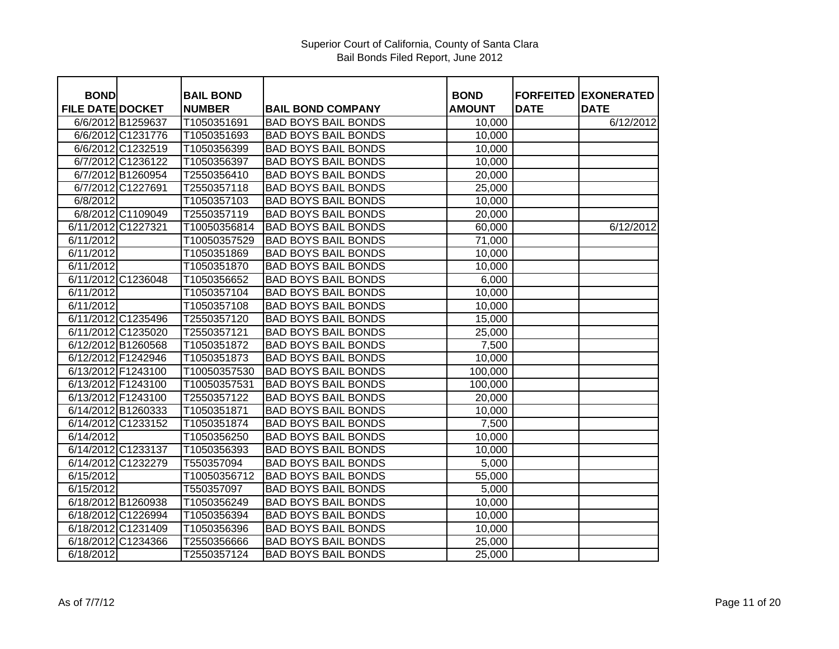| <b>BOND</b>             |                    | <b>BAIL BOND</b> |                            | <b>BOND</b>   | <b>FORFEITED</b> | <b>EXONERATED</b> |
|-------------------------|--------------------|------------------|----------------------------|---------------|------------------|-------------------|
| <b>FILE DATE DOCKET</b> |                    | <b>NUMBER</b>    | <b>BAIL BOND COMPANY</b>   | <b>AMOUNT</b> | <b>DATE</b>      | <b>DATE</b>       |
|                         | 6/6/2012 B1259637  | T1050351691      | <b>BAD BOYS BAIL BONDS</b> | 10,000        |                  | 6/12/2012         |
|                         | 6/6/2012 C1231776  | T1050351693      | <b>BAD BOYS BAIL BONDS</b> | 10,000        |                  |                   |
|                         | 6/6/2012 C1232519  | T1050356399      | <b>BAD BOYS BAIL BONDS</b> | 10,000        |                  |                   |
|                         | 6/7/2012 C1236122  | T1050356397      | <b>BAD BOYS BAIL BONDS</b> | 10,000        |                  |                   |
|                         | 6/7/2012 B1260954  | T2550356410      | <b>BAD BOYS BAIL BONDS</b> | 20,000        |                  |                   |
|                         | 6/7/2012 C1227691  | T2550357118      | <b>BAD BOYS BAIL BONDS</b> | 25,000        |                  |                   |
| 6/8/2012                |                    | T1050357103      | <b>BAD BOYS BAIL BONDS</b> | 10,000        |                  |                   |
|                         | 6/8/2012 C1109049  | T2550357119      | <b>BAD BOYS BAIL BONDS</b> | 20,000        |                  |                   |
|                         | 6/11/2012 C1227321 | T10050356814     | <b>BAD BOYS BAIL BONDS</b> | 60,000        |                  | 6/12/2012         |
| 6/11/2012               |                    | T10050357529     | <b>BAD BOYS BAIL BONDS</b> | 71,000        |                  |                   |
| 6/11/2012               |                    | T1050351869      | <b>BAD BOYS BAIL BONDS</b> | 10,000        |                  |                   |
| 6/11/2012               |                    | T1050351870      | <b>BAD BOYS BAIL BONDS</b> | 10,000        |                  |                   |
|                         | 6/11/2012 C1236048 | T1050356652      | <b>BAD BOYS BAIL BONDS</b> | 6,000         |                  |                   |
| 6/11/2012               |                    | T1050357104      | <b>BAD BOYS BAIL BONDS</b> | 10,000        |                  |                   |
| 6/11/2012               |                    | T1050357108      | <b>BAD BOYS BAIL BONDS</b> | 10,000        |                  |                   |
|                         | 6/11/2012 C1235496 | T2550357120      | <b>BAD BOYS BAIL BONDS</b> | 15,000        |                  |                   |
|                         | 6/11/2012 C1235020 | T2550357121      | <b>BAD BOYS BAIL BONDS</b> | 25,000        |                  |                   |
|                         | 6/12/2012 B1260568 | T1050351872      | <b>BAD BOYS BAIL BONDS</b> | 7,500         |                  |                   |
|                         | 6/12/2012 F1242946 | T1050351873      | <b>BAD BOYS BAIL BONDS</b> | 10,000        |                  |                   |
|                         | 6/13/2012 F1243100 | T10050357530     | <b>BAD BOYS BAIL BONDS</b> | 100,000       |                  |                   |
|                         | 6/13/2012 F1243100 | T10050357531     | <b>BAD BOYS BAIL BONDS</b> | 100,000       |                  |                   |
|                         | 6/13/2012 F1243100 | T2550357122      | <b>BAD BOYS BAIL BONDS</b> | 20,000        |                  |                   |
|                         | 6/14/2012 B1260333 | T1050351871      | <b>BAD BOYS BAIL BONDS</b> | 10,000        |                  |                   |
|                         | 6/14/2012 C1233152 | T1050351874      | <b>BAD BOYS BAIL BONDS</b> | 7,500         |                  |                   |
| 6/14/2012               |                    | T1050356250      | <b>BAD BOYS BAIL BONDS</b> | 10,000        |                  |                   |
|                         | 6/14/2012 C1233137 | T1050356393      | <b>BAD BOYS BAIL BONDS</b> | 10,000        |                  |                   |
|                         | 6/14/2012 C1232279 | T550357094       | <b>BAD BOYS BAIL BONDS</b> | 5,000         |                  |                   |
| 6/15/2012               |                    | T10050356712     | <b>BAD BOYS BAIL BONDS</b> | 55,000        |                  |                   |
| 6/15/2012               |                    | T550357097       | <b>BAD BOYS BAIL BONDS</b> | 5,000         |                  |                   |
|                         | 6/18/2012 B1260938 | T1050356249      | <b>BAD BOYS BAIL BONDS</b> | 10,000        |                  |                   |
|                         | 6/18/2012 C1226994 | T1050356394      | <b>BAD BOYS BAIL BONDS</b> | 10,000        |                  |                   |
|                         | 6/18/2012 C1231409 | T1050356396      | <b>BAD BOYS BAIL BONDS</b> | 10,000        |                  |                   |
|                         | 6/18/2012 C1234366 | T2550356666      | <b>BAD BOYS BAIL BONDS</b> | 25,000        |                  |                   |
| 6/18/2012               |                    | T2550357124      | <b>BAD BOYS BAIL BONDS</b> | 25,000        |                  |                   |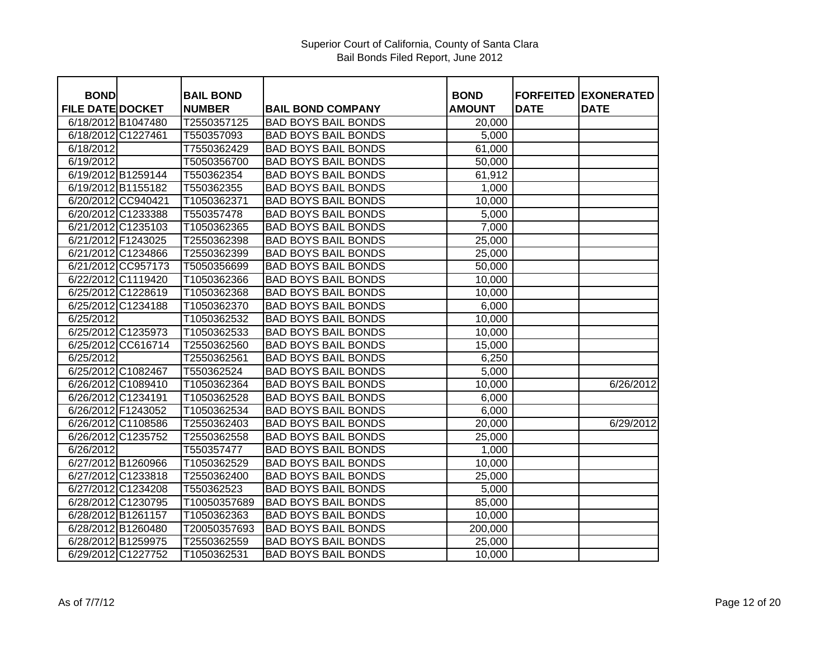| <b>BOND</b>             |                    | <b>BAIL BOND</b> |                            | <b>BOND</b>   |             |                                            |
|-------------------------|--------------------|------------------|----------------------------|---------------|-------------|--------------------------------------------|
| <b>FILE DATE DOCKET</b> |                    | <b>NUMBER</b>    | <b>BAIL BOND COMPANY</b>   | <b>AMOUNT</b> | <b>DATE</b> | <b>FORFEITED EXONERATED</b><br><b>DATE</b> |
|                         | 6/18/2012 B1047480 | T2550357125      | <b>BAD BOYS BAIL BONDS</b> | 20,000        |             |                                            |
|                         | 6/18/2012 C1227461 | T550357093       | <b>BAD BOYS BAIL BONDS</b> | 5,000         |             |                                            |
| 6/18/2012               |                    | T7550362429      | <b>BAD BOYS BAIL BONDS</b> | 61,000        |             |                                            |
|                         |                    |                  | <b>BAD BOYS BAIL BONDS</b> |               |             |                                            |
| 6/19/2012               |                    | T5050356700      |                            | 50,000        |             |                                            |
|                         | 6/19/2012 B1259144 | T550362354       | <b>BAD BOYS BAIL BONDS</b> | 61,912        |             |                                            |
|                         | 6/19/2012 B1155182 | T550362355       | <b>BAD BOYS BAIL BONDS</b> | 1,000         |             |                                            |
|                         | 6/20/2012 CC940421 | T1050362371      | <b>BAD BOYS BAIL BONDS</b> | 10,000        |             |                                            |
|                         | 6/20/2012 C1233388 | T550357478       | <b>BAD BOYS BAIL BONDS</b> | 5,000         |             |                                            |
|                         | 6/21/2012 C1235103 | T1050362365      | <b>BAD BOYS BAIL BONDS</b> | 7,000         |             |                                            |
|                         | 6/21/2012 F1243025 | T2550362398      | <b>BAD BOYS BAIL BONDS</b> | 25,000        |             |                                            |
|                         | 6/21/2012 C1234866 | T2550362399      | <b>BAD BOYS BAIL BONDS</b> | 25,000        |             |                                            |
|                         | 6/21/2012 CC957173 | T5050356699      | <b>BAD BOYS BAIL BONDS</b> | 50,000        |             |                                            |
|                         | 6/22/2012 C1119420 | T1050362366      | <b>BAD BOYS BAIL BONDS</b> | 10,000        |             |                                            |
|                         | 6/25/2012 C1228619 | T1050362368      | <b>BAD BOYS BAIL BONDS</b> | 10,000        |             |                                            |
|                         | 6/25/2012 C1234188 | T1050362370      | <b>BAD BOYS BAIL BONDS</b> | 6,000         |             |                                            |
| 6/25/2012               |                    | T1050362532      | <b>BAD BOYS BAIL BONDS</b> | 10,000        |             |                                            |
|                         | 6/25/2012 C1235973 | T1050362533      | <b>BAD BOYS BAIL BONDS</b> | 10,000        |             |                                            |
|                         | 6/25/2012 CC616714 | T2550362560      | <b>BAD BOYS BAIL BONDS</b> | 15,000        |             |                                            |
| 6/25/2012               |                    | T2550362561      | <b>BAD BOYS BAIL BONDS</b> | 6,250         |             |                                            |
|                         | 6/25/2012 C1082467 | T550362524       | <b>BAD BOYS BAIL BONDS</b> | 5,000         |             |                                            |
|                         | 6/26/2012 C1089410 | T1050362364      | <b>BAD BOYS BAIL BONDS</b> | 10,000        |             | 6/26/2012                                  |
|                         | 6/26/2012 C1234191 | T1050362528      | <b>BAD BOYS BAIL BONDS</b> | 6,000         |             |                                            |
|                         | 6/26/2012 F1243052 | T1050362534      | <b>BAD BOYS BAIL BONDS</b> | 6,000         |             |                                            |
|                         | 6/26/2012 C1108586 | T2550362403      | <b>BAD BOYS BAIL BONDS</b> | 20,000        |             | 6/29/2012                                  |
|                         | 6/26/2012 C1235752 | T2550362558      | <b>BAD BOYS BAIL BONDS</b> | 25,000        |             |                                            |
| 6/26/2012               |                    | T550357477       | <b>BAD BOYS BAIL BONDS</b> | 1,000         |             |                                            |
|                         | 6/27/2012 B1260966 | T1050362529      | <b>BAD BOYS BAIL BONDS</b> | 10,000        |             |                                            |
|                         | 6/27/2012 C1233818 | T2550362400      | <b>BAD BOYS BAIL BONDS</b> | 25,000        |             |                                            |
|                         | 6/27/2012 C1234208 | T550362523       | <b>BAD BOYS BAIL BONDS</b> | 5,000         |             |                                            |
|                         | 6/28/2012 C1230795 | T10050357689     | <b>BAD BOYS BAIL BONDS</b> | 85,000        |             |                                            |
|                         | 6/28/2012 B1261157 | T1050362363      | <b>BAD BOYS BAIL BONDS</b> | 10,000        |             |                                            |
|                         | 6/28/2012 B1260480 | T20050357693     | <b>BAD BOYS BAIL BONDS</b> | 200,000       |             |                                            |
|                         | 6/28/2012 B1259975 | T2550362559      | <b>BAD BOYS BAIL BONDS</b> | 25,000        |             |                                            |
|                         | 6/29/2012 C1227752 | T1050362531      | <b>BAD BOYS BAIL BONDS</b> | 10,000        |             |                                            |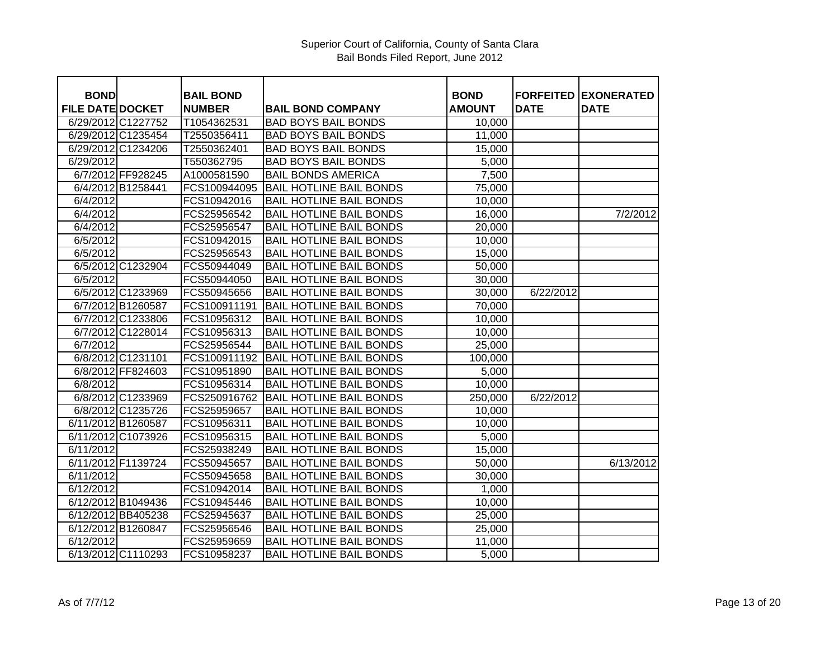| <b>BOND</b>             |                    | <b>BAIL BOND</b> |                                | <b>BOND</b>   | <b>FORFEITED</b> | <b>EXONERATED</b> |
|-------------------------|--------------------|------------------|--------------------------------|---------------|------------------|-------------------|
| <b>FILE DATE DOCKET</b> |                    | <b>NUMBER</b>    | <b>BAIL BOND COMPANY</b>       | <b>AMOUNT</b> | <b>DATE</b>      | <b>DATE</b>       |
|                         | 6/29/2012 C1227752 | T1054362531      | <b>BAD BOYS BAIL BONDS</b>     | 10,000        |                  |                   |
|                         | 6/29/2012 C1235454 | T2550356411      | <b>BAD BOYS BAIL BONDS</b>     | 11,000        |                  |                   |
|                         | 6/29/2012 C1234206 | T2550362401      | <b>BAD BOYS BAIL BONDS</b>     | 15,000        |                  |                   |
| 6/29/2012               |                    | T550362795       | <b>BAD BOYS BAIL BONDS</b>     | 5,000         |                  |                   |
|                         | 6/7/2012 FF928245  | A1000581590      | <b>BAIL BONDS AMERICA</b>      | 7,500         |                  |                   |
|                         | 6/4/2012 B1258441  | FCS100944095     | <b>BAIL HOTLINE BAIL BONDS</b> | 75,000        |                  |                   |
| 6/4/2012                |                    | FCS10942016      | <b>BAIL HOTLINE BAIL BONDS</b> | 10,000        |                  |                   |
| 6/4/2012                |                    | FCS25956542      | <b>BAIL HOTLINE BAIL BONDS</b> | 16,000        |                  | 7/2/2012          |
| 6/4/2012                |                    | FCS25956547      | <b>BAIL HOTLINE BAIL BONDS</b> | 20,000        |                  |                   |
| 6/5/2012                |                    | FCS10942015      | <b>BAIL HOTLINE BAIL BONDS</b> | 10,000        |                  |                   |
| 6/5/2012                |                    | FCS25956543      | <b>BAIL HOTLINE BAIL BONDS</b> | 15,000        |                  |                   |
|                         | 6/5/2012 C1232904  | FCS50944049      | <b>BAIL HOTLINE BAIL BONDS</b> | 50,000        |                  |                   |
| 6/5/2012                |                    | FCS50944050      | <b>BAIL HOTLINE BAIL BONDS</b> | 30,000        |                  |                   |
|                         | 6/5/2012 C1233969  | FCS50945656      | <b>BAIL HOTLINE BAIL BONDS</b> | 30,000        | 6/22/2012        |                   |
|                         | 6/7/2012 B1260587  | FCS100911191     | <b>BAIL HOTLINE BAIL BONDS</b> | 70,000        |                  |                   |
|                         | 6/7/2012 C1233806  | FCS10956312      | <b>BAIL HOTLINE BAIL BONDS</b> | 10,000        |                  |                   |
|                         | 6/7/2012 C1228014  | FCS10956313      | <b>BAIL HOTLINE BAIL BONDS</b> | 10,000        |                  |                   |
| 6/7/2012                |                    | FCS25956544      | <b>BAIL HOTLINE BAIL BONDS</b> | 25,000        |                  |                   |
|                         | 6/8/2012 C1231101  | FCS100911192     | <b>BAIL HOTLINE BAIL BONDS</b> | 100,000       |                  |                   |
|                         | 6/8/2012 FF824603  | FCS10951890      | <b>BAIL HOTLINE BAIL BONDS</b> | 5,000         |                  |                   |
| 6/8/2012                |                    | FCS10956314      | <b>BAIL HOTLINE BAIL BONDS</b> | 10,000        |                  |                   |
|                         | 6/8/2012 C1233969  | FCS250916762     | <b>BAIL HOTLINE BAIL BONDS</b> | 250,000       | 6/22/2012        |                   |
|                         | 6/8/2012 C1235726  | FCS25959657      | <b>BAIL HOTLINE BAIL BONDS</b> | 10,000        |                  |                   |
|                         | 6/11/2012 B1260587 | FCS10956311      | <b>BAIL HOTLINE BAIL BONDS</b> | 10,000        |                  |                   |
|                         | 6/11/2012 C1073926 | FCS10956315      | <b>BAIL HOTLINE BAIL BONDS</b> | 5,000         |                  |                   |
| 6/11/2012               |                    | FCS25938249      | <b>BAIL HOTLINE BAIL BONDS</b> | 15,000        |                  |                   |
|                         | 6/11/2012 F1139724 | FCS50945657      | <b>BAIL HOTLINE BAIL BONDS</b> | 50,000        |                  | 6/13/2012         |
| 6/11/2012               |                    | FCS50945658      | <b>BAIL HOTLINE BAIL BONDS</b> | 30,000        |                  |                   |
| 6/12/2012               |                    | FCS10942014      | <b>BAIL HOTLINE BAIL BONDS</b> | 1,000         |                  |                   |
|                         | 6/12/2012 B1049436 | FCS10945446      | <b>BAIL HOTLINE BAIL BONDS</b> | 10,000        |                  |                   |
|                         | 6/12/2012 BB405238 | FCS25945637      | <b>BAIL HOTLINE BAIL BONDS</b> | 25,000        |                  |                   |
|                         | 6/12/2012 B1260847 | FCS25956546      | <b>BAIL HOTLINE BAIL BONDS</b> | 25,000        |                  |                   |
| 6/12/2012               |                    | FCS25959659      | <b>BAIL HOTLINE BAIL BONDS</b> | 11,000        |                  |                   |
|                         | 6/13/2012 C1110293 | FCS10958237      | <b>BAIL HOTLINE BAIL BONDS</b> | 5,000         |                  |                   |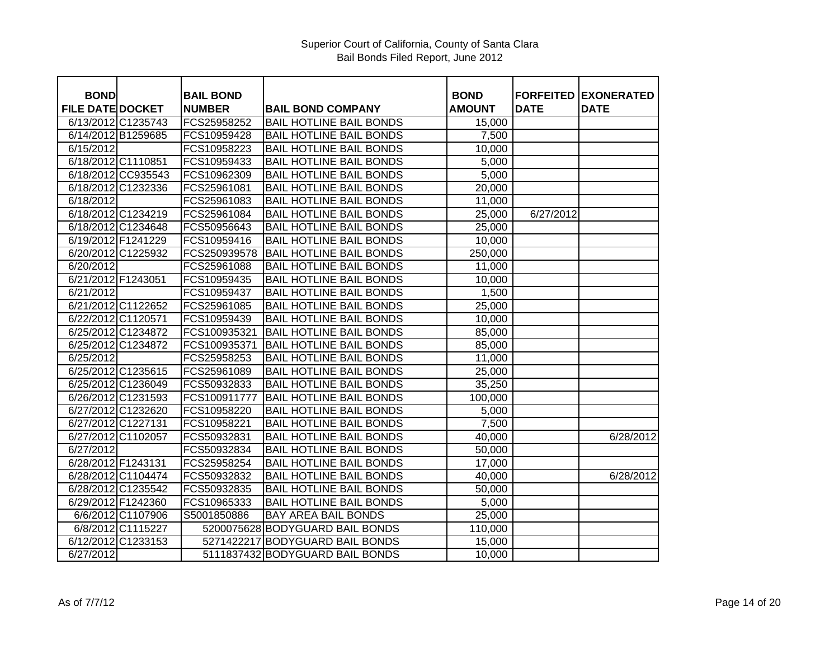| <b>BOND</b>             |                    | <b>BAIL BOND</b> |                                 | <b>BOND</b> |             | <b>FORFEITED EXONERATED</b> |
|-------------------------|--------------------|------------------|---------------------------------|-------------|-------------|-----------------------------|
| <b>FILE DATE DOCKET</b> |                    | <b>NUMBER</b>    | <b>BAIL BOND COMPANY</b>        | AMOUNT      | <b>DATE</b> | <b>DATE</b>                 |
|                         | 6/13/2012 C1235743 | FCS25958252      | <b>BAIL HOTLINE BAIL BONDS</b>  | 15,000      |             |                             |
|                         | 6/14/2012 B1259685 | FCS10959428      | <b>BAIL HOTLINE BAIL BONDS</b>  | 7,500       |             |                             |
| 6/15/2012               |                    | FCS10958223      | <b>BAIL HOTLINE BAIL BONDS</b>  | 10,000      |             |                             |
|                         | 6/18/2012 C1110851 | FCS10959433      | <b>BAIL HOTLINE BAIL BONDS</b>  | 5,000       |             |                             |
|                         | 6/18/2012 CC935543 | FCS10962309      | <b>BAIL HOTLINE BAIL BONDS</b>  | 5,000       |             |                             |
|                         | 6/18/2012 C1232336 | FCS25961081      | <b>BAIL HOTLINE BAIL BONDS</b>  | 20,000      |             |                             |
| 6/18/2012               |                    | FCS25961083      | <b>BAIL HOTLINE BAIL BONDS</b>  | 11,000      |             |                             |
|                         | 6/18/2012 C1234219 | FCS25961084      | <b>BAIL HOTLINE BAIL BONDS</b>  | 25,000      | 6/27/2012   |                             |
|                         | 6/18/2012 C1234648 | FCS50956643      | <b>BAIL HOTLINE BAIL BONDS</b>  | 25,000      |             |                             |
|                         | 6/19/2012 F1241229 | FCS10959416      | <b>BAIL HOTLINE BAIL BONDS</b>  | 10,000      |             |                             |
|                         | 6/20/2012 C1225932 | FCS250939578     | <b>BAIL HOTLINE BAIL BONDS</b>  | 250,000     |             |                             |
| 6/20/2012               |                    |                  | <b>BAIL HOTLINE BAIL BONDS</b>  |             |             |                             |
|                         |                    | FCS25961088      |                                 | 11,000      |             |                             |
| 6/21/2012 F1243051      |                    | FCS10959435      | <b>BAIL HOTLINE BAIL BONDS</b>  | 10,000      |             |                             |
| 6/21/2012               |                    | FCS10959437      | <b>BAIL HOTLINE BAIL BONDS</b>  | 1,500       |             |                             |
|                         | 6/21/2012 C1122652 | FCS25961085      | <b>BAIL HOTLINE BAIL BONDS</b>  | 25,000      |             |                             |
|                         | 6/22/2012 C1120571 | FCS10959439      | <b>BAIL HOTLINE BAIL BONDS</b>  | 10,000      |             |                             |
|                         | 6/25/2012 C1234872 | FCS100935321     | <b>BAIL HOTLINE BAIL BONDS</b>  | 85,000      |             |                             |
|                         | 6/25/2012 C1234872 | FCS100935371     | <b>BAIL HOTLINE BAIL BONDS</b>  | 85,000      |             |                             |
| 6/25/2012               |                    | FCS25958253      | <b>BAIL HOTLINE BAIL BONDS</b>  | 11,000      |             |                             |
|                         | 6/25/2012 C1235615 | FCS25961089      | <b>BAIL HOTLINE BAIL BONDS</b>  | 25,000      |             |                             |
|                         | 6/25/2012 C1236049 | FCS50932833      | <b>BAIL HOTLINE BAIL BONDS</b>  | 35,250      |             |                             |
|                         | 6/26/2012 C1231593 | FCS100911777     | <b>BAIL HOTLINE BAIL BONDS</b>  | 100,000     |             |                             |
|                         | 6/27/2012 C1232620 | FCS10958220      | <b>BAIL HOTLINE BAIL BONDS</b>  | 5,000       |             |                             |
|                         | 6/27/2012 C1227131 | FCS10958221      | <b>BAIL HOTLINE BAIL BONDS</b>  | 7,500       |             |                             |
|                         | 6/27/2012 C1102057 | FCS50932831      | <b>BAIL HOTLINE BAIL BONDS</b>  | 40,000      |             | 6/28/2012                   |
| 6/27/2012               |                    | FCS50932834      | <b>BAIL HOTLINE BAIL BONDS</b>  | 50,000      |             |                             |
| 6/28/2012 F1243131      |                    | FCS25958254      | <b>BAIL HOTLINE BAIL BONDS</b>  | 17,000      |             |                             |
|                         | 6/28/2012 C1104474 | FCS50932832      | <b>BAIL HOTLINE BAIL BONDS</b>  | 40,000      |             | 6/28/2012                   |
|                         | 6/28/2012 C1235542 | FCS50932835      | <b>BAIL HOTLINE BAIL BONDS</b>  | 50,000      |             |                             |
|                         | 6/29/2012 F1242360 | FCS10965333      | <b>BAIL HOTLINE BAIL BONDS</b>  | 5,000       |             |                             |
|                         | 6/6/2012 C1107906  | S5001850886      | BAY AREA BAIL BONDS             | 25,000      |             |                             |
|                         | 6/8/2012 C1115227  |                  | 5200075628 BODYGUARD BAIL BONDS | 110,000     |             |                             |
|                         | 6/12/2012 C1233153 |                  | 5271422217 BODYGUARD BAIL BONDS | 15,000      |             |                             |
| 6/27/2012               |                    |                  | 5111837432 BODYGUARD BAIL BONDS | 10,000      |             |                             |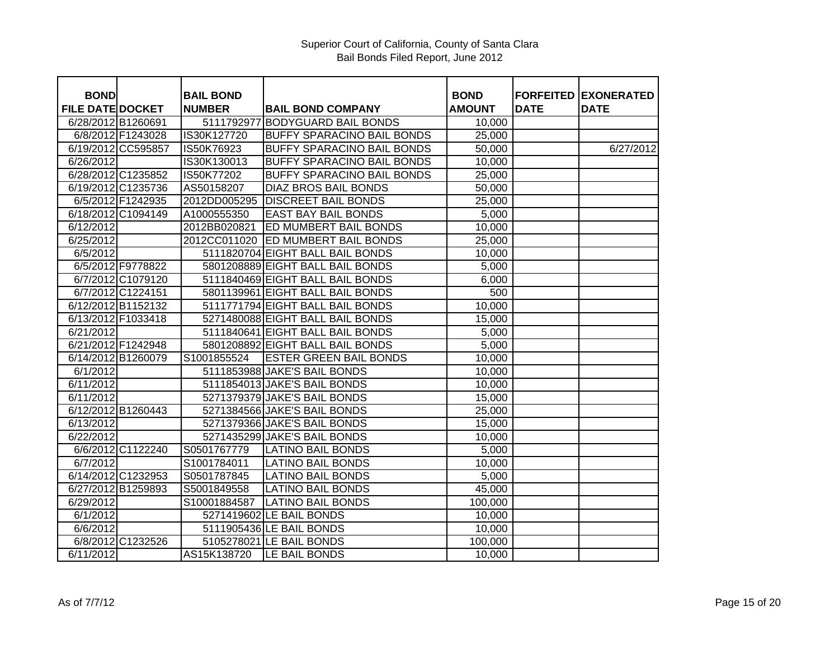| <b>BOND</b>             |                    | <b>BAIL BOND</b> |                                   | <b>BOND</b>   | <b>FORFEITED</b> | <b>EXONERATED</b> |
|-------------------------|--------------------|------------------|-----------------------------------|---------------|------------------|-------------------|
| <b>FILE DATE DOCKET</b> |                    | <b>NUMBER</b>    | <b>BAIL BOND COMPANY</b>          | <b>AMOUNT</b> | <b>DATE</b>      | <b>DATE</b>       |
| 6/28/2012 B1260691      |                    |                  | 5111792977 BODYGUARD BAIL BONDS   | 10,000        |                  |                   |
|                         | 6/8/2012 F1243028  | IS30K127720      | <b>BUFFY SPARACINO BAIL BONDS</b> | 25,000        |                  |                   |
|                         | 6/19/2012 CC595857 | IS50K76923       | <b>BUFFY SPARACINO BAIL BONDS</b> | 50,000        |                  | 6/27/2012         |
| 6/26/2012               |                    | IS30K130013      | <b>BUFFY SPARACINO BAIL BONDS</b> | 10,000        |                  |                   |
|                         | 6/28/2012 C1235852 | IS50K77202       | <b>BUFFY SPARACINO BAIL BONDS</b> | 25,000        |                  |                   |
|                         | 6/19/2012 C1235736 | AS50158207       | <b>DIAZ BROS BAIL BONDS</b>       | 50,000        |                  |                   |
|                         | 6/5/2012 F1242935  | 2012DD005295     | <b>DISCREET BAIL BONDS</b>        | 25,000        |                  |                   |
|                         | 6/18/2012 C1094149 | A1000555350      | EAST BAY BAIL BONDS               | 5,000         |                  |                   |
| 6/12/2012               |                    | 2012BB020821     | <b>ED MUMBERT BAIL BONDS</b>      | 10,000        |                  |                   |
| 6/25/2012               |                    | 2012CC011020     | <b>ED MUMBERT BAIL BONDS</b>      | 25,000        |                  |                   |
| 6/5/2012                |                    |                  | 5111820704 EIGHT BALL BAIL BONDS  | 10,000        |                  |                   |
|                         | 6/5/2012 F9778822  |                  | 5801208889 EIGHT BALL BAIL BONDS  | 5,000         |                  |                   |
|                         | 6/7/2012 C1079120  |                  | 5111840469 EIGHT BALL BAIL BONDS  | 6,000         |                  |                   |
|                         | 6/7/2012 C1224151  |                  | 5801139961 EIGHT BALL BAIL BONDS  | 500           |                  |                   |
|                         | 6/12/2012 B1152132 |                  | 5111771794 EIGHT BALL BAIL BONDS  | 10,000        |                  |                   |
|                         | 6/13/2012 F1033418 |                  | 5271480088 EIGHT BALL BAIL BONDS  | 15,000        |                  |                   |
| 6/21/2012               |                    |                  | 5111840641 EIGHT BALL BAIL BONDS  | 5,000         |                  |                   |
|                         | 6/21/2012 F1242948 |                  | 5801208892 EIGHT BALL BAIL BONDS  | 5,000         |                  |                   |
|                         | 6/14/2012 B1260079 | S1001855524      | <b>ESTER GREEN BAIL BONDS</b>     | 10,000        |                  |                   |
| 6/1/2012                |                    |                  | 5111853988 JAKE'S BAIL BONDS      | 10,000        |                  |                   |
| 6/11/2012               |                    |                  | 5111854013 JAKE'S BAIL BONDS      | 10,000        |                  |                   |
| 6/11/2012               |                    |                  | 5271379379 JAKE'S BAIL BONDS      | 15,000        |                  |                   |
|                         | 6/12/2012 B1260443 |                  | 5271384566 JAKE'S BAIL BONDS      | 25,000        |                  |                   |
| 6/13/2012               |                    |                  | 5271379366 JAKE'S BAIL BONDS      | 15,000        |                  |                   |
| 6/22/2012               |                    |                  | 5271435299 JAKE'S BAIL BONDS      | 10,000        |                  |                   |
|                         | 6/6/2012 C1122240  | S0501767779      | <b>LATINO BAIL BONDS</b>          | 5,000         |                  |                   |
| 6/7/2012                |                    | S1001784011      | <b>LATINO BAIL BONDS</b>          | 10,000        |                  |                   |
|                         | 6/14/2012 C1232953 | S0501787845      | <b>LATINO BAIL BONDS</b>          | 5,000         |                  |                   |
|                         | 6/27/2012 B1259893 | S5001849558      | <b>LATINO BAIL BONDS</b>          | 45,000        |                  |                   |
| 6/29/2012               |                    | S10001884587     | <b>LATINO BAIL BONDS</b>          | 100,000       |                  |                   |
| 6/1/2012                |                    |                  | 5271419602 LE BAIL BONDS          | 10,000        |                  |                   |
| 6/6/2012                |                    |                  | 5111905436 LE BAIL BONDS          | 10,000        |                  |                   |
|                         | 6/8/2012 C1232526  |                  | 5105278021 LE BAIL BONDS          | 100,000       |                  |                   |
| 6/11/2012               |                    | AS15K138720      | <b>LE BAIL BONDS</b>              | 10,000        |                  |                   |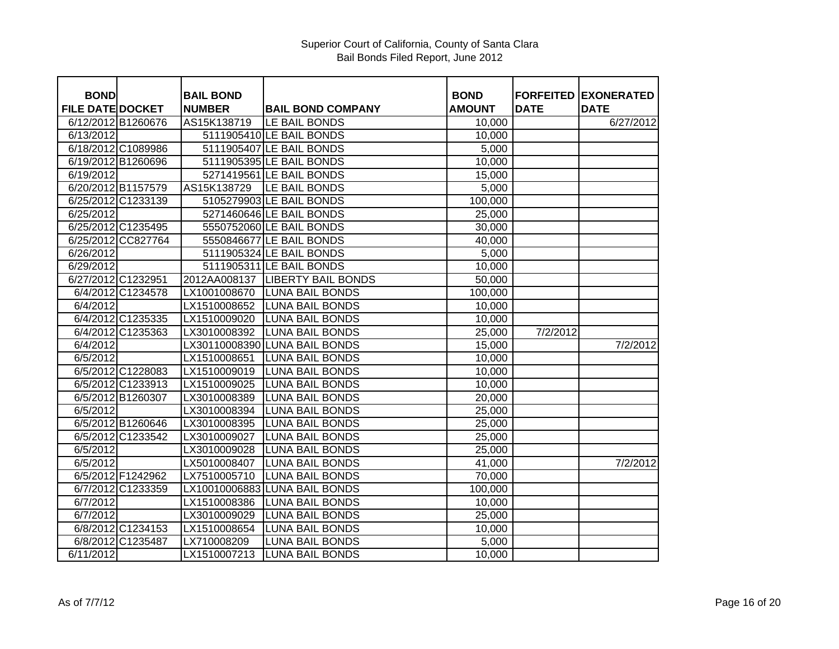## Superior Court of California, County of Santa Clara Bail Bonds Filed Report, June 2012

| <b>BOND</b>             |                    | <b>BAIL BOND</b> |                                  | <b>BOND</b>   |             | <b>FORFEITED EXONERATED</b> |
|-------------------------|--------------------|------------------|----------------------------------|---------------|-------------|-----------------------------|
| <b>FILE DATE DOCKET</b> |                    | <b>NUMBER</b>    | <b>BAIL BOND COMPANY</b>         | <b>AMOUNT</b> | <b>DATE</b> | <b>DATE</b>                 |
| 6/12/2012 B1260676      |                    | AS15K138719      | LE BAIL BONDS                    | 10,000        |             | 6/27/2012                   |
| 6/13/2012               |                    |                  | 5111905410 LE BAIL BONDS         | 10,000        |             |                             |
|                         | 6/18/2012 C1089986 |                  | 5111905407 LE BAIL BONDS         | 5,000         |             |                             |
| 6/19/2012 B1260696      |                    |                  | 5111905395 LE BAIL BONDS         | 10,000        |             |                             |
| 6/19/2012               |                    |                  | 5271419561 LE BAIL BONDS         | 15,000        |             |                             |
| 6/20/2012 B1157579      |                    | AS15K138729      | LE BAIL BONDS                    | 5,000         |             |                             |
|                         | 6/25/2012 C1233139 |                  | 5105279903 LE BAIL BONDS         | 100,000       |             |                             |
| 6/25/2012               |                    |                  | 5271460646 LE BAIL BONDS         | 25,000        |             |                             |
|                         | 6/25/2012 C1235495 |                  | 5550752060 LE BAIL BONDS         | 30,000        |             |                             |
|                         | 6/25/2012 CC827764 |                  | 5550846677 LE BAIL BONDS         | 40,000        |             |                             |
| 6/26/2012               |                    |                  | 5111905324 LE BAIL BONDS         | 5,000         |             |                             |
| 6/29/2012               |                    |                  | 5111905311 LE BAIL BONDS         | 10,000        |             |                             |
| 6/27/2012 C1232951      |                    |                  | 2012AA008137  LIBERTY BAIL BONDS | 50,000        |             |                             |
|                         | 6/4/2012 C1234578  | LX1001008670     | <b>LUNA BAIL BONDS</b>           | 100,000       |             |                             |
| 6/4/2012                |                    | LX1510008652     | <b>LUNA BAIL BONDS</b>           | 10,000        |             |                             |
|                         | 6/4/2012 C1235335  | LX1510009020     | <b>LUNA BAIL BONDS</b>           | 10,000        |             |                             |
|                         | 6/4/2012 C1235363  | LX3010008392     | <b>LUNA BAIL BONDS</b>           | 25,000        | 7/2/2012    |                             |
| 6/4/2012                |                    |                  | LX30110008390 LUNA BAIL BONDS    | 15,000        |             | 7/2/2012                    |
| 6/5/2012                |                    | LX1510008651     | <b>LUNA BAIL BONDS</b>           | 10,000        |             |                             |
|                         | 6/5/2012 C1228083  | LX1510009019     | <b>LUNA BAIL BONDS</b>           | 10,000        |             |                             |
|                         | 6/5/2012 C1233913  | LX1510009025     | <b>LUNA BAIL BONDS</b>           | 10,000        |             |                             |
|                         | 6/5/2012 B1260307  | LX3010008389     | <b>LUNA BAIL BONDS</b>           | 20,000        |             |                             |
| 6/5/2012                |                    | LX3010008394     | <b>LUNA BAIL BONDS</b>           | 25,000        |             |                             |
|                         | 6/5/2012 B1260646  | LX3010008395     | <b>LUNA BAIL BONDS</b>           | 25,000        |             |                             |
|                         | 6/5/2012 C1233542  | LX3010009027     | <b>LUNA BAIL BONDS</b>           | 25,000        |             |                             |
| 6/5/2012                |                    | LX3010009028     | <b>LUNA BAIL BONDS</b>           | 25,000        |             |                             |
| 6/5/2012                |                    | LX5010008407     | <b>LUNA BAIL BONDS</b>           | 41,000        |             | 7/2/2012                    |
|                         | 6/5/2012 F1242962  | LX7510005710     | <b>LUNA BAIL BONDS</b>           | 70,000        |             |                             |
|                         | 6/7/2012 C1233359  |                  | LX10010006883 LUNA BAIL BONDS    | 100,000       |             |                             |
| 6/7/2012                |                    | LX1510008386     | <b>LUNA BAIL BONDS</b>           | 10,000        |             |                             |
| 6/7/2012                |                    | LX3010009029     | <b>LUNA BAIL BONDS</b>           | 25,000        |             |                             |
|                         | 6/8/2012 C1234153  | LX1510008654     | <b>LUNA BAIL BONDS</b>           | 10,000        |             |                             |
|                         | 6/8/2012 C1235487  | LX710008209      | <b>LUNA BAIL BONDS</b>           | 5,000         |             |                             |
| 6/11/2012               |                    | LX1510007213     | <b>LUNA BAIL BONDS</b>           | 10,000        |             |                             |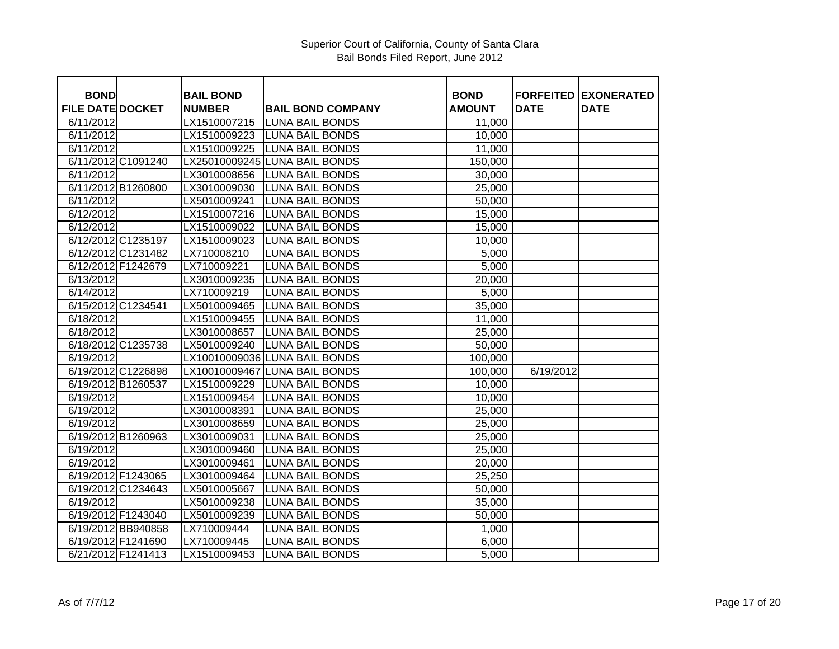| <b>BOND</b>             |                    | <b>BAIL BOND</b> |                               | <b>BOND</b>   |             | <b>FORFEITED EXONERATED</b> |
|-------------------------|--------------------|------------------|-------------------------------|---------------|-------------|-----------------------------|
| <b>FILE DATE DOCKET</b> |                    | <b>NUMBER</b>    | <b>BAIL BOND COMPANY</b>      | <b>AMOUNT</b> | <b>DATE</b> | <b>DATE</b>                 |
| 6/11/2012               |                    | LX1510007215     | <b>LUNA BAIL BONDS</b>        | 11,000        |             |                             |
| 6/11/2012               |                    | LX1510009223     | <b>LUNA BAIL BONDS</b>        | 10,000        |             |                             |
| 6/11/2012               |                    | LX1510009225     | <b>LUNA BAIL BONDS</b>        | 11,000        |             |                             |
|                         | 6/11/2012 C1091240 |                  | LX25010009245 LUNA BAIL BONDS | 150,000       |             |                             |
| 6/11/2012               |                    | LX3010008656     | <b>LUNA BAIL BONDS</b>        | 30,000        |             |                             |
|                         | 6/11/2012 B1260800 | LX3010009030     | <b>LUNA BAIL BONDS</b>        | 25,000        |             |                             |
| 6/11/2012               |                    | LX5010009241     | <b>LUNA BAIL BONDS</b>        | 50,000        |             |                             |
| 6/12/2012               |                    | LX1510007216     | <b>LUNA BAIL BONDS</b>        | 15,000        |             |                             |
| 6/12/2012               |                    | LX1510009022     | <b>LUNA BAIL BONDS</b>        | 15,000        |             |                             |
|                         | 6/12/2012 C1235197 | LX1510009023     | <b>LUNA BAIL BONDS</b>        | 10,000        |             |                             |
|                         | 6/12/2012 C1231482 | LX710008210      | <b>LUNA BAIL BONDS</b>        | 5,000         |             |                             |
|                         | 6/12/2012 F1242679 | LX710009221      | <b>LUNA BAIL BONDS</b>        | 5,000         |             |                             |
| 6/13/2012               |                    | LX3010009235     | <b>LUNA BAIL BONDS</b>        | 20,000        |             |                             |
| 6/14/2012               |                    | LX710009219      | <b>LUNA BAIL BONDS</b>        | 5,000         |             |                             |
|                         | 6/15/2012 C1234541 | LX5010009465     | <b>LUNA BAIL BONDS</b>        | 35,000        |             |                             |
| 6/18/2012               |                    | LX1510009455     | <b>LUNA BAIL BONDS</b>        | 11,000        |             |                             |
| 6/18/2012               |                    | LX3010008657     | <b>LUNA BAIL BONDS</b>        | 25,000        |             |                             |
|                         | 6/18/2012 C1235738 | LX5010009240     | LUNA BAIL BONDS               | 50,000        |             |                             |
| 6/19/2012               |                    |                  | LX10010009036 LUNA BAIL BONDS | 100,000       |             |                             |
|                         | 6/19/2012 C1226898 |                  | LX10010009467 LUNA BAIL BONDS | 100,000       | 6/19/2012   |                             |
|                         | 6/19/2012 B1260537 | LX1510009229     | <b>LUNA BAIL BONDS</b>        | 10,000        |             |                             |
| 6/19/2012               |                    | LX1510009454     | <b>LUNA BAIL BONDS</b>        | 10,000        |             |                             |
| 6/19/2012               |                    | LX3010008391     | <b>LUNA BAIL BONDS</b>        | 25,000        |             |                             |
| 6/19/2012               |                    | LX3010008659     | <b>LUNA BAIL BONDS</b>        | 25,000        |             |                             |
|                         | 6/19/2012 B1260963 | LX3010009031     | <b>LUNA BAIL BONDS</b>        | 25,000        |             |                             |
| 6/19/2012               |                    | LX3010009460     | <b>LUNA BAIL BONDS</b>        | 25,000        |             |                             |
| 6/19/2012               |                    | LX3010009461     | <b>LUNA BAIL BONDS</b>        | 20,000        |             |                             |
|                         | 6/19/2012 F1243065 | LX3010009464     | <b>LUNA BAIL BONDS</b>        | 25,250        |             |                             |
|                         | 6/19/2012 C1234643 | LX5010005667     | <b>LUNA BAIL BONDS</b>        | 50,000        |             |                             |
| 6/19/2012               |                    | LX5010009238     | <b>LUNA BAIL BONDS</b>        | 35,000        |             |                             |
|                         | 6/19/2012 F1243040 | LX5010009239     | <b>LUNA BAIL BONDS</b>        | 50,000        |             |                             |
|                         | 6/19/2012 BB940858 | LX710009444      | <b>LUNA BAIL BONDS</b>        | 1,000         |             |                             |
|                         | 6/19/2012 F1241690 | LX710009445      | <b>LUNA BAIL BONDS</b>        | 6,000         |             |                             |
|                         | 6/21/2012 F1241413 | LX1510009453     | <b>LUNA BAIL BONDS</b>        | 5,000         |             |                             |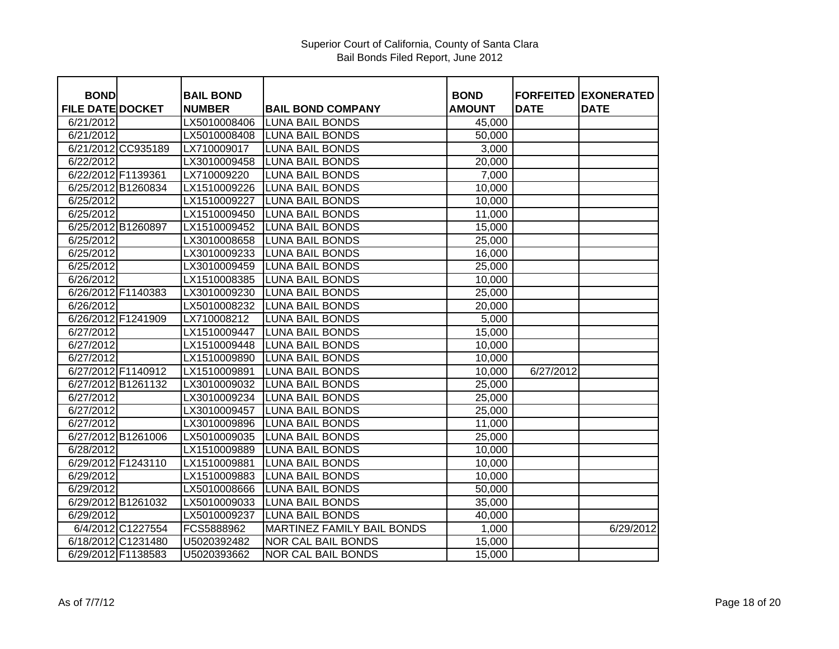| <b>BOND</b>             |                    | <b>BAIL BOND</b> |                                   | <b>BOND</b>   |             | <b>FORFEITED EXONERATED</b> |
|-------------------------|--------------------|------------------|-----------------------------------|---------------|-------------|-----------------------------|
| <b>FILE DATE DOCKET</b> |                    | <b>NUMBER</b>    | <b>BAIL BOND COMPANY</b>          | <b>AMOUNT</b> | <b>DATE</b> | <b>DATE</b>                 |
| 6/21/2012               |                    | LX5010008406     | <b>LUNA BAIL BONDS</b>            | 45,000        |             |                             |
| 6/21/2012               |                    | LX5010008408     | <b>LUNA BAIL BONDS</b>            | 50,000        |             |                             |
|                         | 6/21/2012 CC935189 | LX710009017      | <b>LUNA BAIL BONDS</b>            | 3,000         |             |                             |
| 6/22/2012               |                    | LX3010009458     | <b>LUNA BAIL BONDS</b>            | 20,000        |             |                             |
| 6/22/2012 F1139361      |                    | LX710009220      | <b>LUNA BAIL BONDS</b>            | 7,000         |             |                             |
|                         | 6/25/2012 B1260834 | LX1510009226     | <b>LUNA BAIL BONDS</b>            | 10,000        |             |                             |
| 6/25/2012               |                    | LX1510009227     | <b>LUNA BAIL BONDS</b>            | 10,000        |             |                             |
| 6/25/2012               |                    | LX1510009450     | <b>LUNA BAIL BONDS</b>            | 11,000        |             |                             |
|                         | 6/25/2012 B1260897 | LX1510009452     | <b>LUNA BAIL BONDS</b>            | 15,000        |             |                             |
| 6/25/2012               |                    | LX3010008658     | <b>LUNA BAIL BONDS</b>            | 25,000        |             |                             |
| 6/25/2012               |                    | LX3010009233     | <b>LUNA BAIL BONDS</b>            | 16,000        |             |                             |
| 6/25/2012               |                    | LX3010009459     | <b>LUNA BAIL BONDS</b>            | 25,000        |             |                             |
| 6/26/2012               |                    | LX1510008385     | <b>LUNA BAIL BONDS</b>            | 10,000        |             |                             |
|                         | 6/26/2012 F1140383 | LX3010009230     | <b>LUNA BAIL BONDS</b>            | 25,000        |             |                             |
| 6/26/2012               |                    | LX5010008232     | <b>LUNA BAIL BONDS</b>            | 20,000        |             |                             |
|                         | 6/26/2012 F1241909 | LX710008212      | <b>LUNA BAIL BONDS</b>            | 5,000         |             |                             |
| 6/27/2012               |                    | LX1510009447     | <b>LUNA BAIL BONDS</b>            | 15,000        |             |                             |
| 6/27/2012               |                    | LX1510009448     | <b>LUNA BAIL BONDS</b>            | 10,000        |             |                             |
| 6/27/2012               |                    | LX1510009890     | <b>LUNA BAIL BONDS</b>            | 10,000        |             |                             |
|                         | 6/27/2012 F1140912 | LX1510009891     | <b>LUNA BAIL BONDS</b>            | 10,000        | 6/27/2012   |                             |
|                         | 6/27/2012 B1261132 | LX3010009032     | <b>LUNA BAIL BONDS</b>            | 25,000        |             |                             |
| 6/27/2012               |                    | LX3010009234     | <b>LUNA BAIL BONDS</b>            | 25,000        |             |                             |
| 6/27/2012               |                    | LX3010009457     | <b>LUNA BAIL BONDS</b>            | 25,000        |             |                             |
| 6/27/2012               |                    | LX3010009896     | <b>LUNA BAIL BONDS</b>            | 11,000        |             |                             |
|                         | 6/27/2012 B1261006 | LX5010009035     | <b>LUNA BAIL BONDS</b>            | 25,000        |             |                             |
| 6/28/2012               |                    | LX1510009889     | <b>LUNA BAIL BONDS</b>            | 10,000        |             |                             |
|                         | 6/29/2012 F1243110 | LX1510009881     | <b>LUNA BAIL BONDS</b>            | 10,000        |             |                             |
| 6/29/2012               |                    | LX1510009883     | <b>LUNA BAIL BONDS</b>            | 10,000        |             |                             |
| 6/29/2012               |                    | LX5010008666     | <b>LUNA BAIL BONDS</b>            | 50,000        |             |                             |
|                         | 6/29/2012 B1261032 | LX5010009033     | <b>LUNA BAIL BONDS</b>            | 35,000        |             |                             |
| 6/29/2012               |                    | LX5010009237     | <b>LUNA BAIL BONDS</b>            | 40,000        |             |                             |
|                         | 6/4/2012 C1227554  | FCS5888962       | <b>MARTINEZ FAMILY BAIL BONDS</b> | 1,000         |             | 6/29/2012                   |
|                         | 6/18/2012 C1231480 | U5020392482      | <b>NOR CAL BAIL BONDS</b>         | 15,000        |             |                             |
|                         | 6/29/2012 F1138583 | U5020393662      | <b>NOR CAL BAIL BONDS</b>         | 15,000        |             |                             |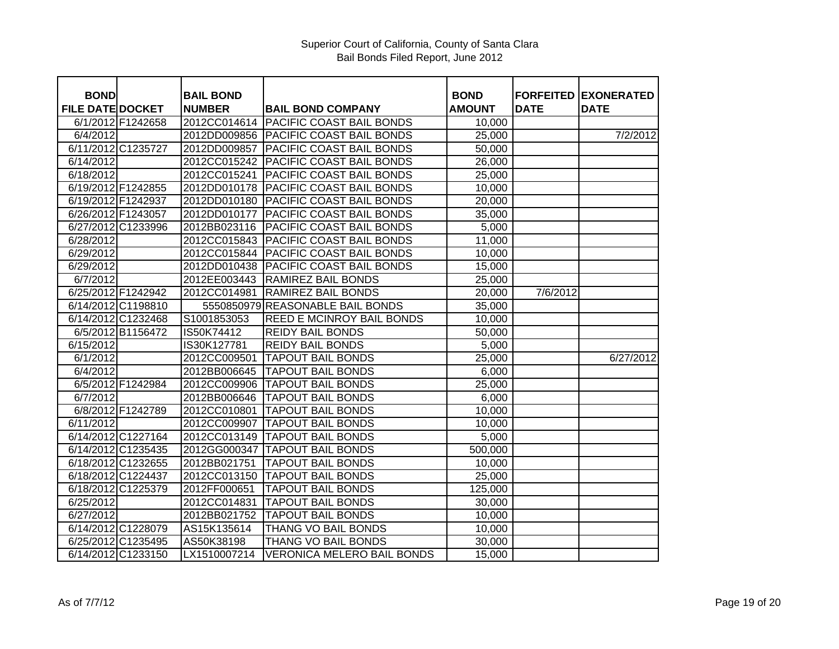| <b>BOND</b>             |                    | <b>BAIL BOND</b> |                                       | <b>BOND</b>   | <b>FORFEITED</b> | <b>IEXONERATED</b> |
|-------------------------|--------------------|------------------|---------------------------------------|---------------|------------------|--------------------|
| <b>FILE DATE DOCKET</b> |                    | <b>NUMBER</b>    | <b>BAIL BOND COMPANY</b>              | <b>AMOUNT</b> | <b>DATE</b>      | <b>DATE</b>        |
|                         | 6/1/2012 F1242658  | 2012CC014614     | <b>PACIFIC COAST BAIL BONDS</b>       | 10,000        |                  |                    |
| 6/4/2012                |                    |                  | 2012DD009856 PACIFIC COAST BAIL BONDS | 25,000        |                  | 7/2/2012           |
|                         | 6/11/2012 C1235727 | 2012DD009857     | <b>PACIFIC COAST BAIL BONDS</b>       | 50,000        |                  |                    |
| 6/14/2012               |                    | 2012CC015242     | <b>PACIFIC COAST BAIL BONDS</b>       | 26,000        |                  |                    |
| 6/18/2012               |                    | 2012CC015241     | <b>PACIFIC COAST BAIL BONDS</b>       | 25,000        |                  |                    |
| 6/19/2012 F1242855      |                    | 2012DD010178     | <b>PACIFIC COAST BAIL BONDS</b>       | 10,000        |                  |                    |
| 6/19/2012 F1242937      |                    | 2012DD010180     | <b>PACIFIC COAST BAIL BONDS</b>       | 20,000        |                  |                    |
| 6/26/2012 F1243057      |                    | 2012DD010177     | <b>PACIFIC COAST BAIL BONDS</b>       | 35,000        |                  |                    |
|                         | 6/27/2012 C1233996 | 2012BB023116     | PACIFIC COAST BAIL BONDS              | 5,000         |                  |                    |
| 6/28/2012               |                    | 2012CC015843     | PACIFIC COAST BAIL BONDS              | 11,000        |                  |                    |
| 6/29/2012               |                    | 2012CC015844     | PACIFIC COAST BAIL BONDS              | 10,000        |                  |                    |
| 6/29/2012               |                    | 2012DD010438     | <b>PACIFIC COAST BAIL BONDS</b>       | 15,000        |                  |                    |
| 6/7/2012                |                    | 2012EE003443     | RAMIREZ BAIL BONDS                    | 25,000        |                  |                    |
|                         | 6/25/2012 F1242942 | 2012CC014981     | RAMIREZ BAIL BONDS                    | 20,000        | 7/6/2012         |                    |
|                         | 6/14/2012 C1198810 |                  | 5550850979 REASONABLE BAIL BONDS      | 35,000        |                  |                    |
|                         | 6/14/2012 C1232468 | S1001853053      | REED E MCINROY BAIL BONDS             | 10,000        |                  |                    |
|                         | 6/5/2012 B1156472  | IS50K74412       | <b>REIDY BAIL BONDS</b>               | 50,000        |                  |                    |
| 6/15/2012               |                    | IS30K127781      | <b>REIDY BAIL BONDS</b>               | 5,000         |                  |                    |
| 6/1/2012                |                    | 2012CC009501     | <b>TAPOUT BAIL BONDS</b>              | 25,000        |                  | 6/27/2012          |
| 6/4/2012                |                    | 2012BB006645     | <b>TAPOUT BAIL BONDS</b>              | 6,000         |                  |                    |
|                         | 6/5/2012 F1242984  | 2012CC009906     | <b>TAPOUT BAIL BONDS</b>              | 25,000        |                  |                    |
| 6/7/2012                |                    | 2012BB006646     | <b>TAPOUT BAIL BONDS</b>              | 6,000         |                  |                    |
|                         | 6/8/2012 F1242789  | 2012CC010801     | <b>TAPOUT BAIL BONDS</b>              | 10,000        |                  |                    |
| 6/11/2012               |                    | 2012CC009907     | <b>TAPOUT BAIL BONDS</b>              | 10,000        |                  |                    |
|                         | 6/14/2012 C1227164 | 2012CC013149     | <b>TAPOUT BAIL BONDS</b>              | 5,000         |                  |                    |
|                         | 6/14/2012 C1235435 | 2012GG000347     | <b>TAPOUT BAIL BONDS</b>              | 500,000       |                  |                    |
|                         | 6/18/2012 C1232655 | 2012BB021751     | <b>TAPOUT BAIL BONDS</b>              | 10,000        |                  |                    |
|                         | 6/18/2012 C1224437 | 2012CC013150     | <b>TAPOUT BAIL BONDS</b>              | 25,000        |                  |                    |
|                         | 6/18/2012 C1225379 | 2012FF000651     | <b>TAPOUT BAIL BONDS</b>              | 125,000       |                  |                    |
| 6/25/2012               |                    | 2012CC014831     | <b>TAPOUT BAIL BONDS</b>              | 30,000        |                  |                    |
| 6/27/2012               |                    | 2012BB021752     | <b>TAPOUT BAIL BONDS</b>              | 10,000        |                  |                    |
|                         | 6/14/2012 C1228079 | AS15K135614      | THANG VO BAIL BONDS                   | 10,000        |                  |                    |
|                         | 6/25/2012 C1235495 | AS50K38198       | <b>THANG VO BAIL BONDS</b>            | 30,000        |                  |                    |
|                         | 6/14/2012 C1233150 | LX1510007214     | <b>VERONICA MELERO BAIL BONDS</b>     | 15,000        |                  |                    |